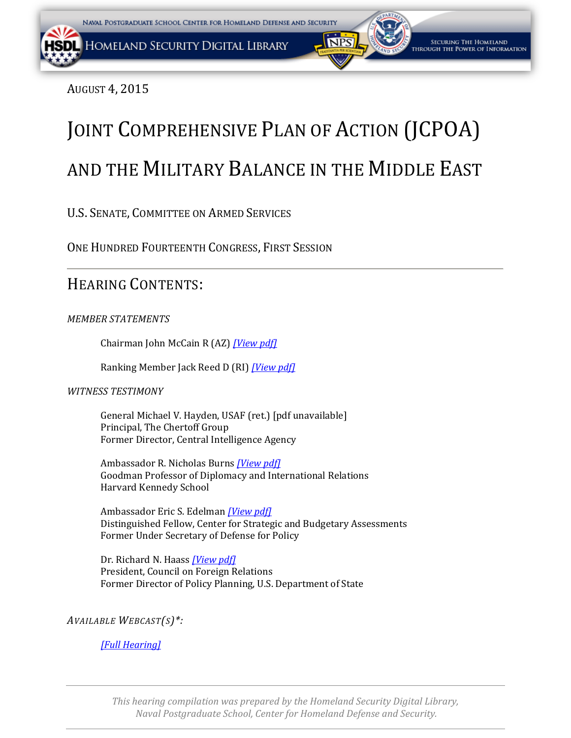AUGUST 4, 2015

# JOINT COMPREHENSIVE PLAN OF ACTION (JCPOA) AND THE MILITARY BALANCE IN THE MIDDLE EAST

U.S. SENATE, COMMITTEE ON ARMED SERVICES

ONE HUNDRED FOURTEENTH CONGRESS, FIRST SESSION

## HEARING CONTENTS:

### *MEMBER STATEMENTS*

Chairman John McCain R (AZ) *[\[View pdf\]](#page-2-0)*

Ranking Member Jack Reed D (RI) *[\[View pdf\]](#page-5-0)*

#### *WITNESS TESTIMONY*

General Michael V. Hayden, USAF (ret.) [pdf unavailable] Principal, The Chertoff Group Former Director, Central Intelligence Agency

Ambassador R. Nicholas Burns *[\[View pdf\]](#page-7-0)* Goodman Professor of Diplomacy and International Relations Harvard Kennedy School

Ambassador Eric S. Edelman *[\[View pdf\]](#page-29-0)* Distinguished Fellow, Center for Strategic and Budgetary Assessments Former Under Secretary of Defense for Policy

Dr. Richard N. Haass *[\[View pdf\]](#page-40-0)* President, Council on Foreign Relations Former Director of Policy Planning, U.S. Department of State

*AVAILABLE WEBCAST(S)\*:*

*[\[Full Hearing\]](http://www.armed-services.senate.gov/hearings/15-08-04-the-joint-comprehensive-plan-of-action-jcpoa-and-the-military-balance-in-the-middle-east)*

*This hearing compilation was prepared by the Homeland Security Digital Library, Naval Postgraduate School, Center for Homeland Defense and Security.*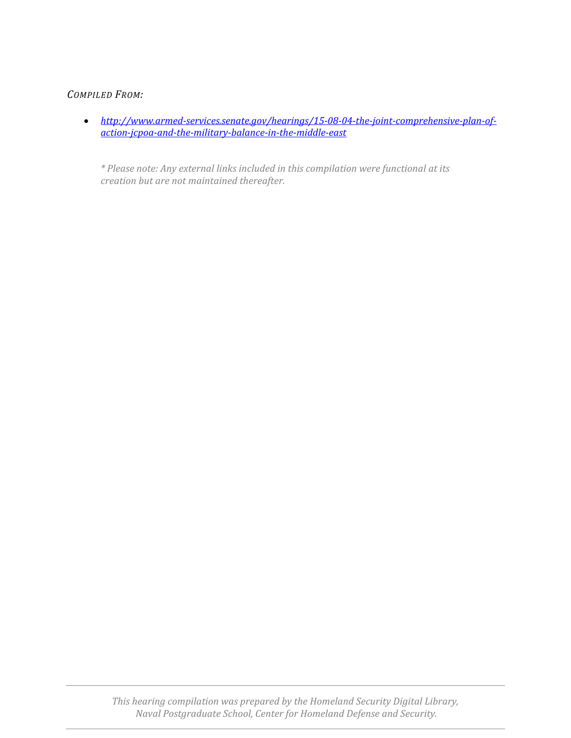#### *COMPILED FROM:*

• *[http://www.armed-services.senate.gov/hearings/15-08-04-the-joint-comprehensive-plan-of](http://www.armed-services.senate.gov/hearings/15-08-04-the-joint-comprehensive-plan-of-action-jcpoa-and-the-military-balance-in-the-middle-east)[action-jcpoa-and-the-military-balance-in-the-middle-east](http://www.armed-services.senate.gov/hearings/15-08-04-the-joint-comprehensive-plan-of-action-jcpoa-and-the-military-balance-in-the-middle-east)*

*\* Please note: Any external links included in this compilation were functional at its creation but are not maintained thereafter.*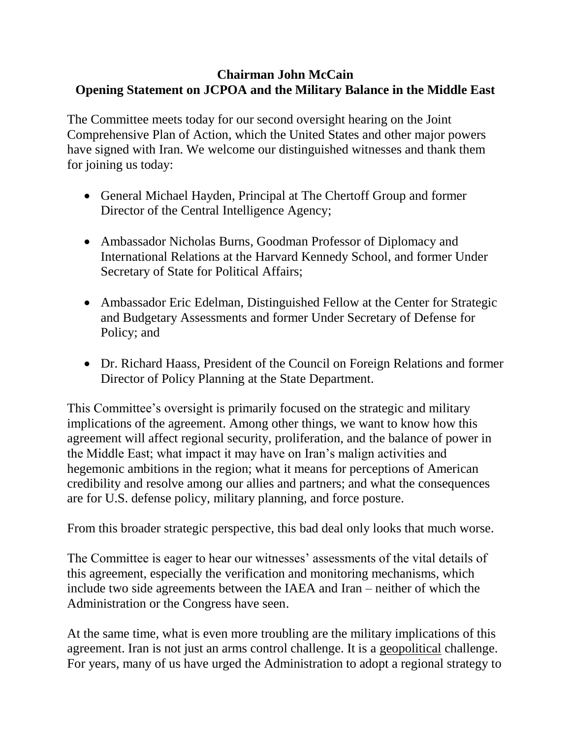## <span id="page-2-0"></span>**Chairman John McCain Opening Statement on JCPOA and the Military Balance in the Middle East**

The Committee meets today for our second oversight hearing on the Joint Comprehensive Plan of Action, which the United States and other major powers have signed with Iran. We welcome our distinguished witnesses and thank them for joining us today:

- General Michael Hayden, Principal at The Chertoff Group and former Director of the Central Intelligence Agency;
- Ambassador Nicholas Burns, Goodman Professor of Diplomacy and International Relations at the Harvard Kennedy School, and former Under Secretary of State for Political Affairs;
- Ambassador Eric Edelman, Distinguished Fellow at the Center for Strategic and Budgetary Assessments and former Under Secretary of Defense for Policy; and
- Dr. Richard Haass, President of the Council on Foreign Relations and former Director of Policy Planning at the State Department.

This Committee's oversight is primarily focused on the strategic and military implications of the agreement. Among other things, we want to know how this agreement will affect regional security, proliferation, and the balance of power in the Middle East; what impact it may have on Iran's malign activities and hegemonic ambitions in the region; what it means for perceptions of American credibility and resolve among our allies and partners; and what the consequences are for U.S. defense policy, military planning, and force posture.

From this broader strategic perspective, this bad deal only looks that much worse.

The Committee is eager to hear our witnesses' assessments of the vital details of this agreement, especially the verification and monitoring mechanisms, which include two side agreements between the IAEA and Iran – neither of which the Administration or the Congress have seen.

At the same time, what is even more troubling are the military implications of this agreement. Iran is not just an arms control challenge. It is a geopolitical challenge. For years, many of us have urged the Administration to adopt a regional strategy to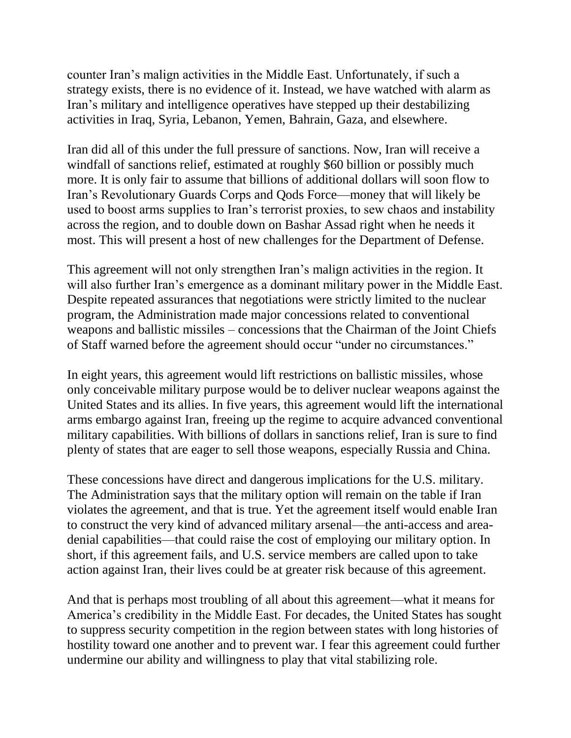counter Iran's malign activities in the Middle East. Unfortunately, if such a strategy exists, there is no evidence of it. Instead, we have watched with alarm as Iran's military and intelligence operatives have stepped up their destabilizing activities in Iraq, Syria, Lebanon, Yemen, Bahrain, Gaza, and elsewhere.

Iran did all of this under the full pressure of sanctions. Now, Iran will receive a windfall of sanctions relief, estimated at roughly \$60 billion or possibly much more. It is only fair to assume that billions of additional dollars will soon flow to Iran's Revolutionary Guards Corps and Qods Force—money that will likely be used to boost arms supplies to Iran's terrorist proxies, to sew chaos and instability across the region, and to double down on Bashar Assad right when he needs it most. This will present a host of new challenges for the Department of Defense.

This agreement will not only strengthen Iran's malign activities in the region. It will also further Iran's emergence as a dominant military power in the Middle East. Despite repeated assurances that negotiations were strictly limited to the nuclear program, the Administration made major concessions related to conventional weapons and ballistic missiles – concessions that the Chairman of the Joint Chiefs of Staff warned before the agreement should occur "under no circumstances."

In eight years, this agreement would lift restrictions on ballistic missiles, whose only conceivable military purpose would be to deliver nuclear weapons against the United States and its allies. In five years, this agreement would lift the international arms embargo against Iran, freeing up the regime to acquire advanced conventional military capabilities. With billions of dollars in sanctions relief, Iran is sure to find plenty of states that are eager to sell those weapons, especially Russia and China.

These concessions have direct and dangerous implications for the U.S. military. The Administration says that the military option will remain on the table if Iran violates the agreement, and that is true. Yet the agreement itself would enable Iran to construct the very kind of advanced military arsenal—the anti-access and areadenial capabilities—that could raise the cost of employing our military option. In short, if this agreement fails, and U.S. service members are called upon to take action against Iran, their lives could be at greater risk because of this agreement.

And that is perhaps most troubling of all about this agreement—what it means for America's credibility in the Middle East. For decades, the United States has sought to suppress security competition in the region between states with long histories of hostility toward one another and to prevent war. I fear this agreement could further undermine our ability and willingness to play that vital stabilizing role.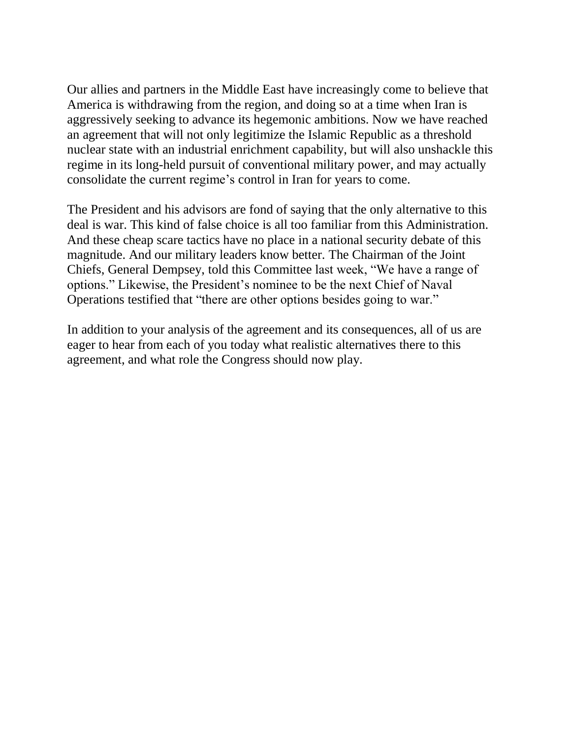Our allies and partners in the Middle East have increasingly come to believe that America is withdrawing from the region, and doing so at a time when Iran is aggressively seeking to advance its hegemonic ambitions. Now we have reached an agreement that will not only legitimize the Islamic Republic as a threshold nuclear state with an industrial enrichment capability, but will also unshackle this regime in its long-held pursuit of conventional military power, and may actually consolidate the current regime's control in Iran for years to come.

The President and his advisors are fond of saying that the only alternative to this deal is war. This kind of false choice is all too familiar from this Administration. And these cheap scare tactics have no place in a national security debate of this magnitude. And our military leaders know better. The Chairman of the Joint Chiefs, General Dempsey, told this Committee last week, "We have a range of options." Likewise, the President's nominee to be the next Chief of Naval Operations testified that "there are other options besides going to war."

In addition to your analysis of the agreement and its consequences, all of us are eager to hear from each of you today what realistic alternatives there to this agreement, and what role the Congress should now play.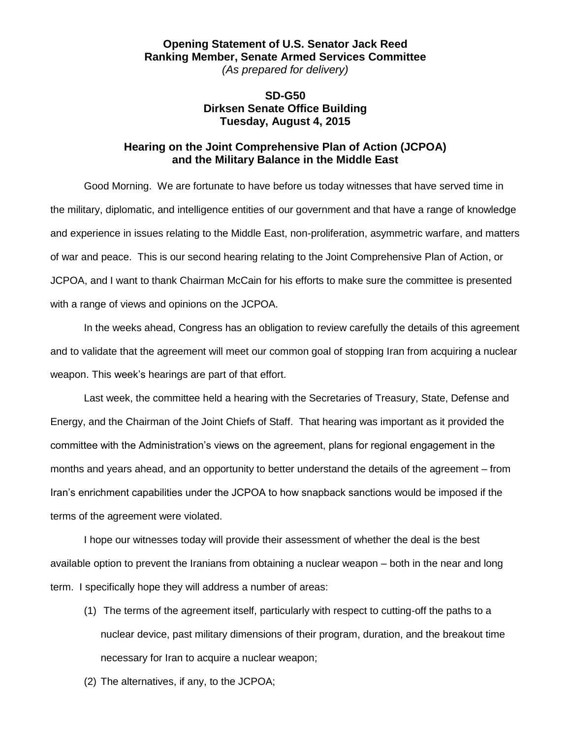#### <span id="page-5-0"></span>**Opening Statement of U.S. Senator Jack Reed Ranking Member, Senate Armed Services Committee** *(As prepared for delivery)*

#### **SD-G50 Dirksen Senate Office Building Tuesday, August 4, 2015**

#### **Hearing on the Joint Comprehensive Plan of Action (JCPOA) and the Military Balance in the Middle East**

Good Morning. We are fortunate to have before us today witnesses that have served time in the military, diplomatic, and intelligence entities of our government and that have a range of knowledge and experience in issues relating to the Middle East, non-proliferation, asymmetric warfare, and matters of war and peace. This is our second hearing relating to the Joint Comprehensive Plan of Action, or JCPOA, and I want to thank Chairman McCain for his efforts to make sure the committee is presented with a range of views and opinions on the JCPOA.

In the weeks ahead, Congress has an obligation to review carefully the details of this agreement and to validate that the agreement will meet our common goal of stopping Iran from acquiring a nuclear weapon. This week's hearings are part of that effort.

Last week, the committee held a hearing with the Secretaries of Treasury, State, Defense and Energy, and the Chairman of the Joint Chiefs of Staff. That hearing was important as it provided the committee with the Administration's views on the agreement, plans for regional engagement in the months and years ahead, and an opportunity to better understand the details of the agreement – from Iran's enrichment capabilities under the JCPOA to how snapback sanctions would be imposed if the terms of the agreement were violated.

I hope our witnesses today will provide their assessment of whether the deal is the best available option to prevent the Iranians from obtaining a nuclear weapon – both in the near and long term. I specifically hope they will address a number of areas:

- (1) The terms of the agreement itself, particularly with respect to cutting-off the paths to a nuclear device, past military dimensions of their program, duration, and the breakout time necessary for Iran to acquire a nuclear weapon;
- (2) The alternatives, if any, to the JCPOA;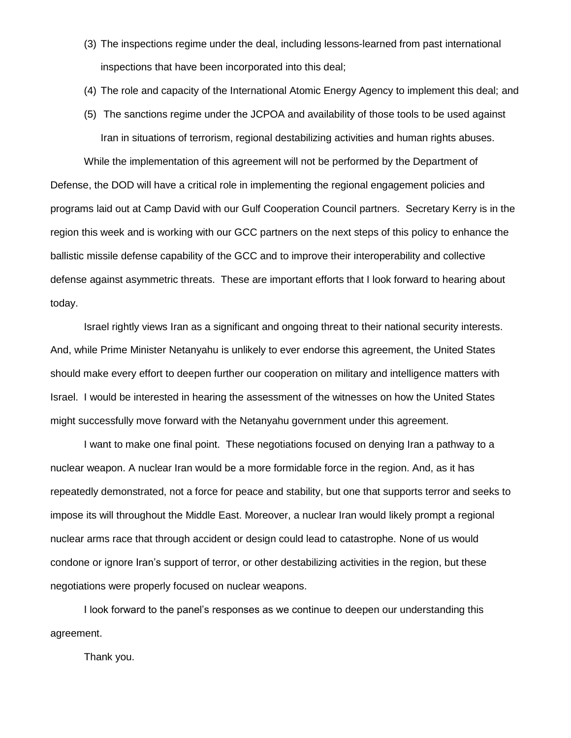- (3) The inspections regime under the deal, including lessons-learned from past international inspections that have been incorporated into this deal;
- (4) The role and capacity of the International Atomic Energy Agency to implement this deal; and

(5) The sanctions regime under the JCPOA and availability of those tools to be used against Iran in situations of terrorism, regional destabilizing activities and human rights abuses. While the implementation of this agreement will not be performed by the Department of Defense, the DOD will have a critical role in implementing the regional engagement policies and programs laid out at Camp David with our Gulf Cooperation Council partners. Secretary Kerry is in the region this week and is working with our GCC partners on the next steps of this policy to enhance the ballistic missile defense capability of the GCC and to improve their interoperability and collective defense against asymmetric threats. These are important efforts that I look forward to hearing about today.

Israel rightly views Iran as a significant and ongoing threat to their national security interests. And, while Prime Minister Netanyahu is unlikely to ever endorse this agreement, the United States should make every effort to deepen further our cooperation on military and intelligence matters with Israel. I would be interested in hearing the assessment of the witnesses on how the United States might successfully move forward with the Netanyahu government under this agreement.

I want to make one final point. These negotiations focused on denying Iran a pathway to a nuclear weapon. A nuclear Iran would be a more formidable force in the region. And, as it has repeatedly demonstrated, not a force for peace and stability, but one that supports terror and seeks to impose its will throughout the Middle East. Moreover, a nuclear Iran would likely prompt a regional nuclear arms race that through accident or design could lead to catastrophe. None of us would condone or ignore Iran's support of terror, or other destabilizing activities in the region, but these negotiations were properly focused on nuclear weapons.

I look forward to the panel's responses as we continue to deepen our understanding this agreement.

Thank you.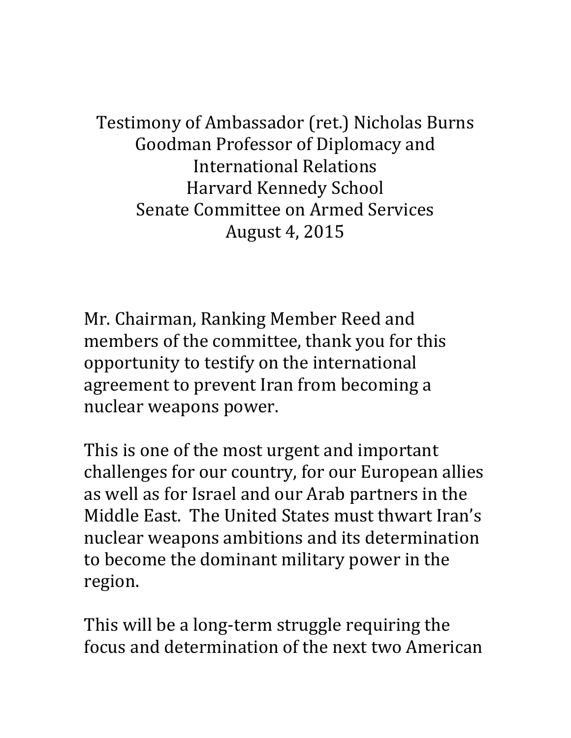<span id="page-7-0"></span>Testimony of Ambassador (ret.) Nicholas Burns Goodman Professor of Diplomacy and International Relations Harvard Kennedy School Senate Committee on Armed Services August 4, 2015

Mr. Chairman, Ranking Member Reed and members of the committee, thank you for this opportunity to testify on the international agreement to prevent Iran from becoming a nuclear weapons power.

This is one of the most urgent and important challenges for our country, for our European allies as well as for Israel and our Arab partners in the Middle East. The United States must thwart Iran's nuclear weapons ambitions and its determination to become the dominant military power in the region.

This will be a long-term struggle requiring the focus and determination of the next two American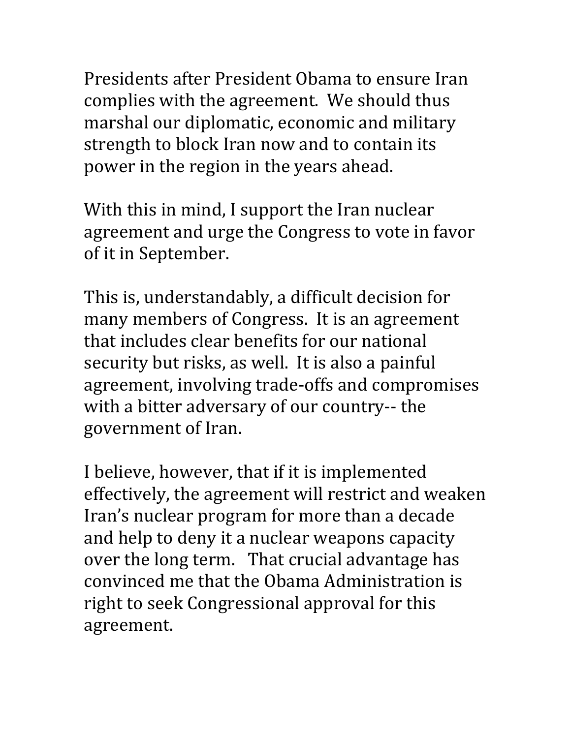Presidents after President Obama to ensure Iran complies with the agreement. We should thus marshal our diplomatic, economic and military strength to block Iran now and to contain its power in the region in the years ahead.

With this in mind, I support the Iran nuclear agreement and urge the Congress to vote in favor of it in September.

This is, understandably, a difficult decision for many members of Congress. It is an agreement that includes clear benefits for our national security but risks, as well. It is also a painful agreement, involving trade-offs and compromises with a bitter adversary of our country-- the government of Iran.

I believe, however, that if it is implemented effectively, the agreement will restrict and weaken Iran's nuclear program for more than a decade and help to deny it a nuclear weapons capacity over the long term. That crucial advantage has convinced me that the Obama Administration is right to seek Congressional approval for this agreement.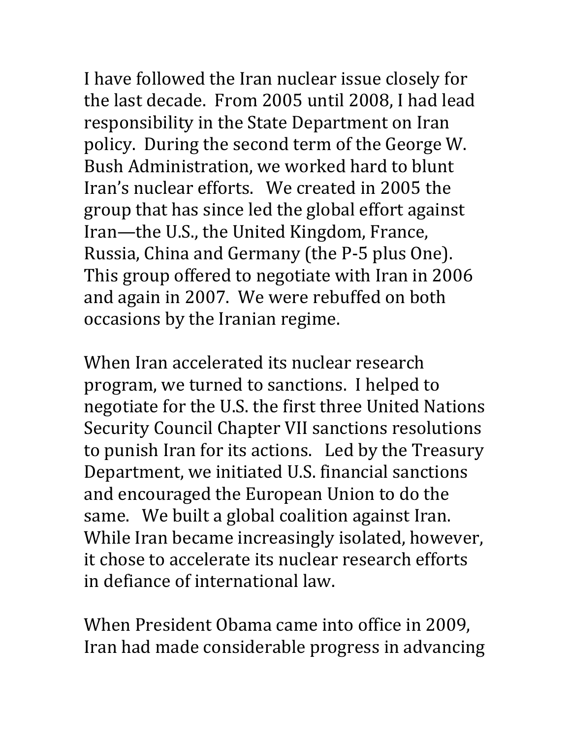I have followed the Iran nuclear issue closely for the last decade. From 2005 until 2008, I had lead responsibility in the State Department on Iran policy. During the second term of the George W. Bush Administration, we worked hard to blunt Iran's nuclear efforts. We created in 2005 the group that has since led the global effort against Iran—the U.S., the United Kingdom, France, Russia, China and Germany (the P-5 plus One). This group offered to negotiate with Iran in 2006 and again in 2007. We were rebuffed on both occasions by the Iranian regime.

When Iran accelerated its nuclear research program, we turned to sanctions. I helped to negotiate for the U.S. the first three United Nations Security Council Chapter VII sanctions resolutions to punish Iran for its actions. Led by the Treasury Department, we initiated U.S. financial sanctions and encouraged the European Union to do the same. We built a global coalition against Iran. While Iran became increasingly isolated, however, it chose to accelerate its nuclear research efforts in defiance of international law.

When President Obama came into office in 2009, Iran had made considerable progress in advancing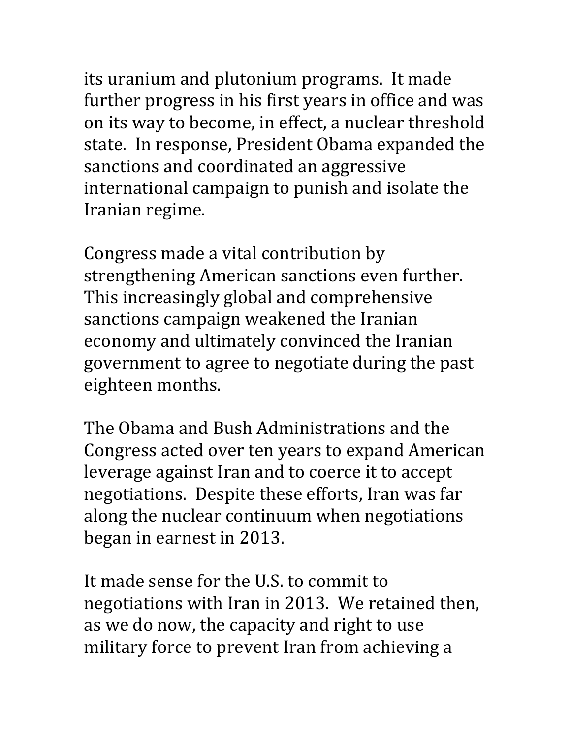its uranium and plutonium programs. It made further progress in his first years in office and was on its way to become, in effect, a nuclear threshold state. In response, President Obama expanded the sanctions and coordinated an aggressive international campaign to punish and isolate the Iranian regime.

Congress made a vital contribution by strengthening American sanctions even further. This increasingly global and comprehensive sanctions campaign weakened the Iranian economy and ultimately convinced the Iranian government to agree to negotiate during the past eighteen months.

The Obama and Bush Administrations and the Congress acted over ten years to expand American leverage against Iran and to coerce it to accept negotiations. Despite these efforts, Iran was far along the nuclear continuum when negotiations began in earnest in 2013.

It made sense for the U.S. to commit to negotiations with Iran in 2013. We retained then, as we do now, the capacity and right to use military force to prevent Iran from achieving a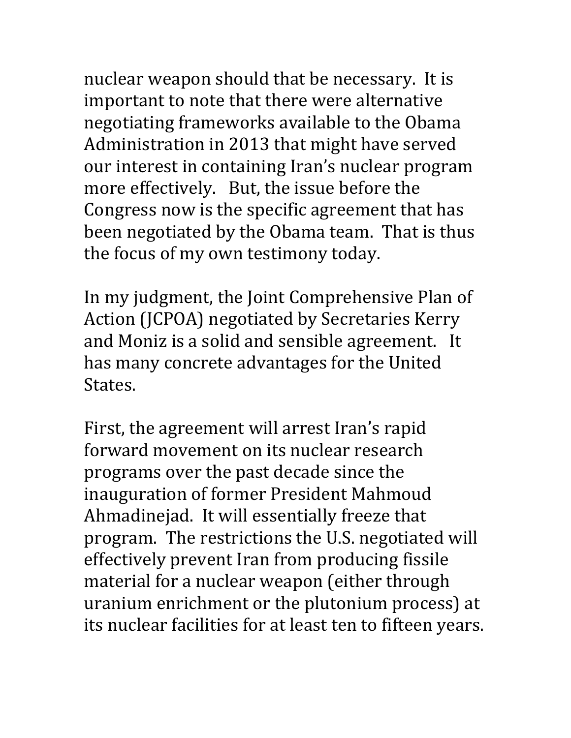nuclear weapon should that be necessary. It is important to note that there were alternative negotiating frameworks available to the Obama Administration in 2013 that might have served our interest in containing Iran's nuclear program more effectively. But, the issue before the Congress now is the specific agreement that has been negotiated by the Obama team. That is thus the focus of my own testimony today.

In my judgment, the Joint Comprehensive Plan of Action (JCPOA) negotiated by Secretaries Kerry and Moniz is a solid and sensible agreement. It has many concrete advantages for the United States.

First, the agreement will arrest Iran's rapid forward movement on its nuclear research programs over the past decade since the inauguration of former President Mahmoud Ahmadinejad. It will essentially freeze that program. The restrictions the U.S. negotiated will effectively prevent Iran from producing fissile material for a nuclear weapon (either through uranium enrichment or the plutonium process) at its nuclear facilities for at least ten to fifteen years.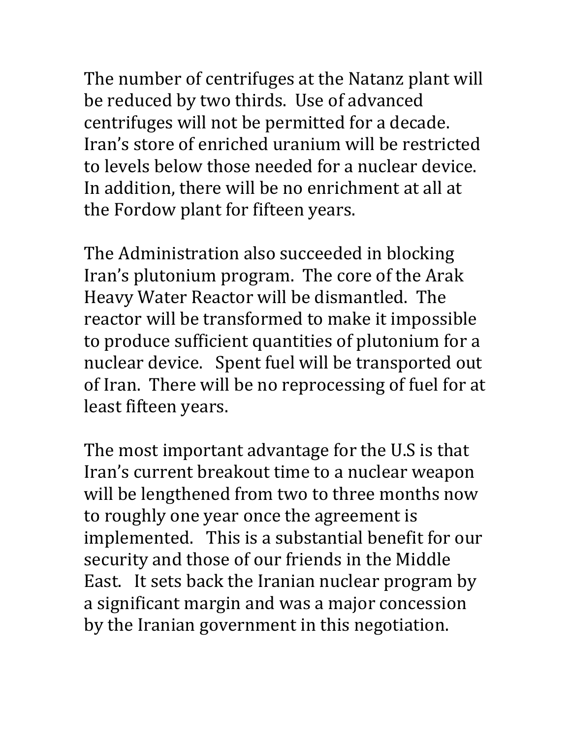The number of centrifuges at the Natanz plant will be reduced by two thirds. Use of advanced centrifuges will not be permitted for a decade. Iran's store of enriched uranium will be restricted to levels below those needed for a nuclear device. In addition, there will be no enrichment at all at the Fordow plant for fifteen years.

The Administration also succeeded in blocking Iran's plutonium program. The core of the Arak Heavy Water Reactor will be dismantled. The reactor will be transformed to make it impossible to produce sufficient quantities of plutonium for a nuclear device. Spent fuel will be transported out of Iran. There will be no reprocessing of fuel for at least fifteen years.

The most important advantage for the U.S is that Iran's current breakout time to a nuclear weapon will be lengthened from two to three months now to roughly one year once the agreement is implemented. This is a substantial benefit for our security and those of our friends in the Middle East. It sets back the Iranian nuclear program by a significant margin and was a major concession by the Iranian government in this negotiation.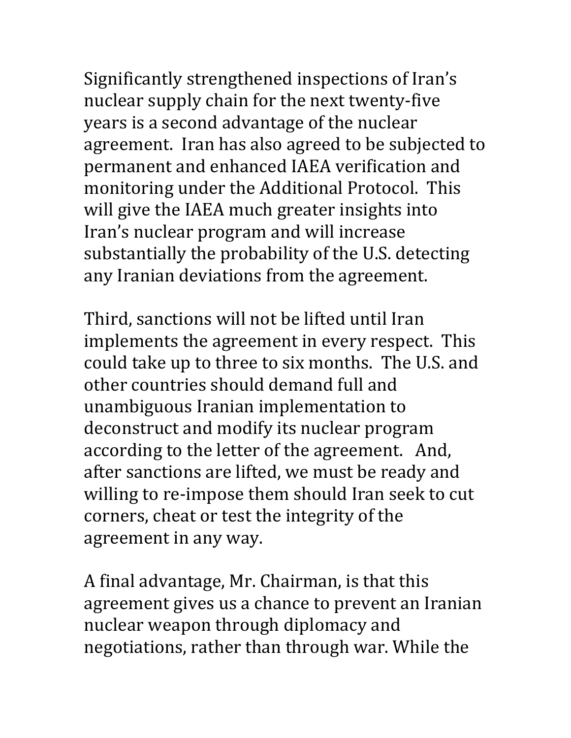Significantly strengthened inspections of Iran's nuclear supply chain for the next twenty-five years is a second advantage of the nuclear agreement. Iran has also agreed to be subjected to permanent and enhanced IAEA verification and monitoring under the Additional Protocol. This will give the IAEA much greater insights into Iran's nuclear program and will increase substantially the probability of the U.S. detecting any Iranian deviations from the agreement.

Third, sanctions will not be lifted until Iran implements the agreement in every respect. This could take up to three to six months. The U.S. and other countries should demand full and unambiguous Iranian implementation to deconstruct and modify its nuclear program according to the letter of the agreement. And, after sanctions are lifted, we must be ready and willing to re-impose them should Iran seek to cut corners, cheat or test the integrity of the agreement in any way.

A final advantage, Mr. Chairman, is that this agreement gives us a chance to prevent an Iranian nuclear weapon through diplomacy and negotiations, rather than through war. While the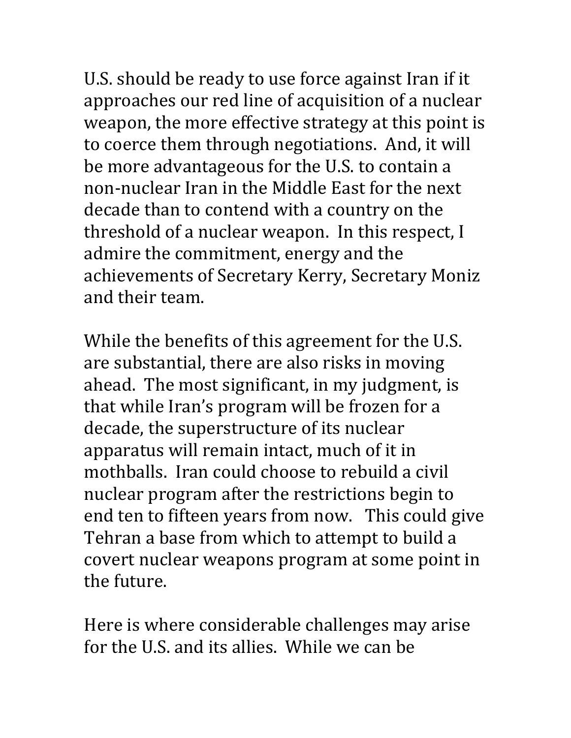U.S. should be ready to use force against Iran if it approaches our red line of acquisition of a nuclear weapon, the more effective strategy at this point is to coerce them through negotiations. And, it will be more advantageous for the U.S. to contain a non-nuclear Iran in the Middle East for the next decade than to contend with a country on the threshold of a nuclear weapon. In this respect, I admire the commitment, energy and the achievements of Secretary Kerry, Secretary Moniz and their team.

While the benefits of this agreement for the U.S. are substantial, there are also risks in moving ahead. The most significant, in my judgment, is that while Iran's program will be frozen for a decade, the superstructure of its nuclear apparatus will remain intact, much of it in mothballs. Iran could choose to rebuild a civil nuclear program after the restrictions begin to end ten to fifteen years from now. This could give Tehran a base from which to attempt to build a covert nuclear weapons program at some point in the future.

Here is where considerable challenges may arise for the U.S. and its allies. While we can be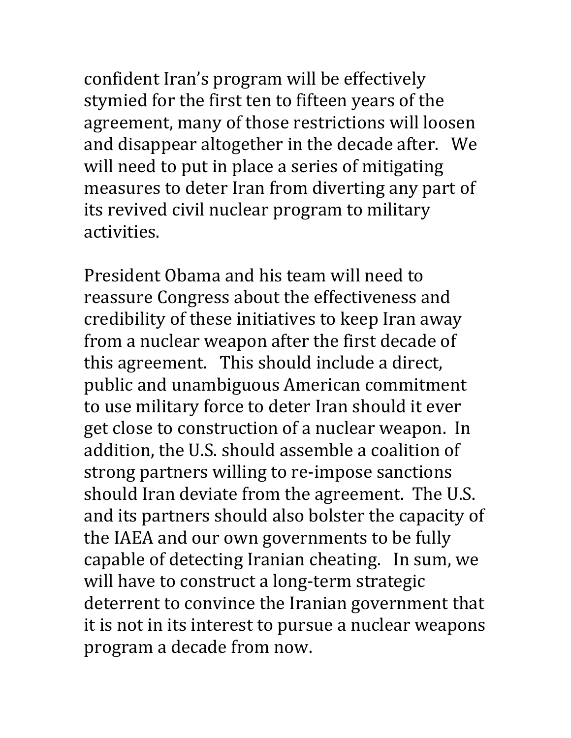confident Iran's program will be effectively stymied for the first ten to fifteen years of the agreement, many of those restrictions will loosen and disappear altogether in the decade after. We will need to put in place a series of mitigating measures to deter Iran from diverting any part of its revived civil nuclear program to military activities.

President Obama and his team will need to reassure Congress about the effectiveness and credibility of these initiatives to keep Iran away from a nuclear weapon after the first decade of this agreement. This should include a direct, public and unambiguous American commitment to use military force to deter Iran should it ever get close to construction of a nuclear weapon. In addition, the U.S. should assemble a coalition of strong partners willing to re-impose sanctions should Iran deviate from the agreement. The U.S. and its partners should also bolster the capacity of the IAEA and our own governments to be fully capable of detecting Iranian cheating. In sum, we will have to construct a long-term strategic deterrent to convince the Iranian government that it is not in its interest to pursue a nuclear weapons program a decade from now.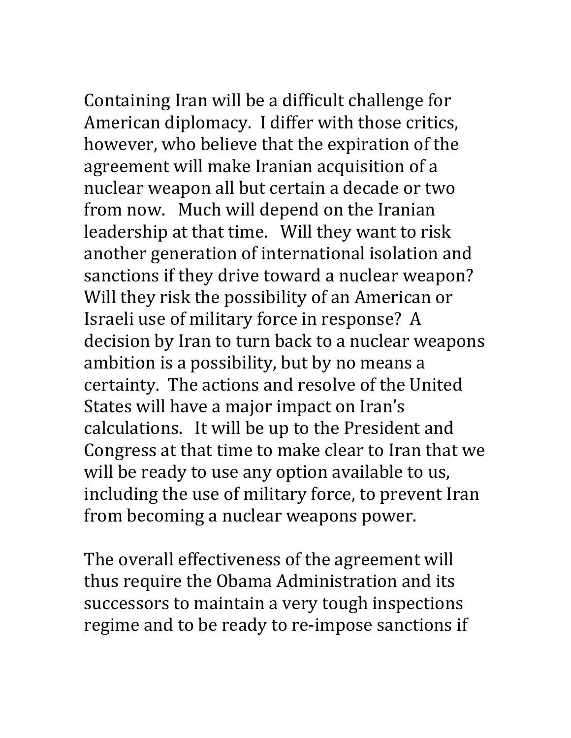Containing Iran will be a difficult challenge for American diplomacy. I differ with those critics, however, who believe that the expiration of the agreement will make Iranian acquisition of a nuclear weapon all but certain a decade or two from now. Much will depend on the Iranian leadership at that time. Will they want to risk another generation of international isolation and sanctions if they drive toward a nuclear weapon? Will they risk the possibility of an American or Israeli use of military force in response? A decision by Iran to turn back to a nuclear weapons ambition is a possibility, but by no means a certainty. The actions and resolve of the United States will have a major impact on Iran's calculations. It will be up to the President and Congress at that time to make clear to Iran that we will be ready to use any option available to us, including the use of military force, to prevent Iran from becoming a nuclear weapons power.

The overall effectiveness of the agreement will thus require the Obama Administration and its successors to maintain a very tough inspections regime and to be ready to re-impose sanctions if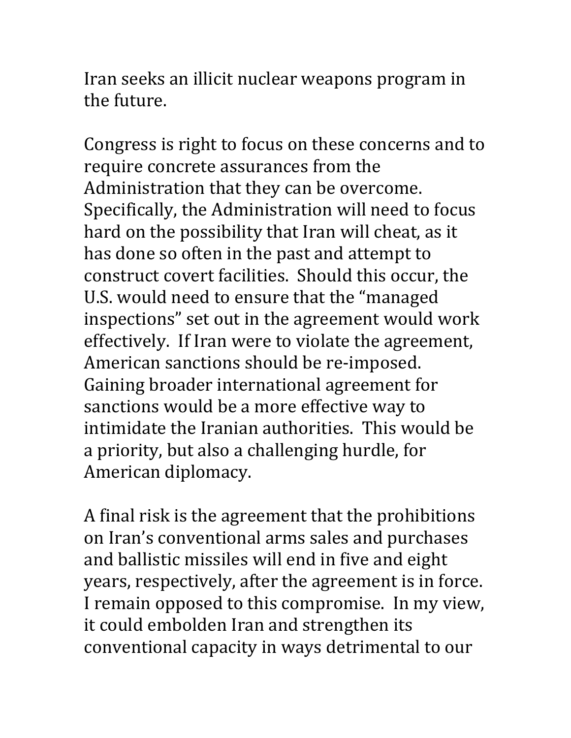Iran seeks an illicit nuclear weapons program in the future.

Congress is right to focus on these concerns and to require concrete assurances from the Administration that they can be overcome. Specifically, the Administration will need to focus hard on the possibility that Iran will cheat, as it has done so often in the past and attempt to construct covert facilities. Should this occur, the U.S. would need to ensure that the "managed inspections" set out in the agreement would work effectively. If Iran were to violate the agreement, American sanctions should be re-imposed. Gaining broader international agreement for sanctions would be a more effective way to intimidate the Iranian authorities. This would be a priority, but also a challenging hurdle, for American diplomacy.

A final risk is the agreement that the prohibitions on Iran's conventional arms sales and purchases and ballistic missiles will end in five and eight years, respectively, after the agreement is in force. I remain opposed to this compromise. In my view, it could embolden Iran and strengthen its conventional capacity in ways detrimental to our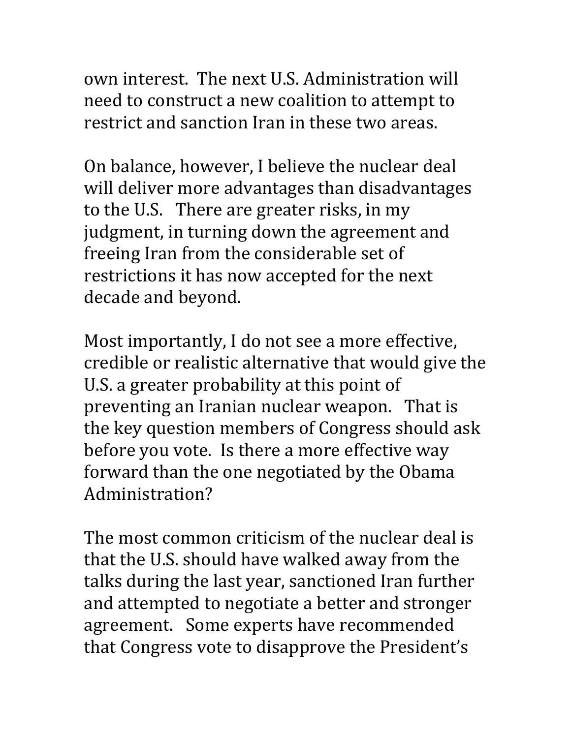own interest. The next U.S. Administration will need to construct a new coalition to attempt to restrict and sanction Iran in these two areas.

On balance, however, I believe the nuclear deal will deliver more advantages than disadvantages to the U.S. There are greater risks, in my judgment, in turning down the agreement and freeing Iran from the considerable set of restrictions it has now accepted for the next decade and beyond.

Most importantly, I do not see a more effective, credible or realistic alternative that would give the U.S. a greater probability at this point of preventing an Iranian nuclear weapon. That is the key question members of Congress should ask before you vote. Is there a more effective way forward than the one negotiated by the Obama Administration?

The most common criticism of the nuclear deal is that the U.S. should have walked away from the talks during the last year, sanctioned Iran further and attempted to negotiate a better and stronger agreement. Some experts have recommended that Congress vote to disapprove the President's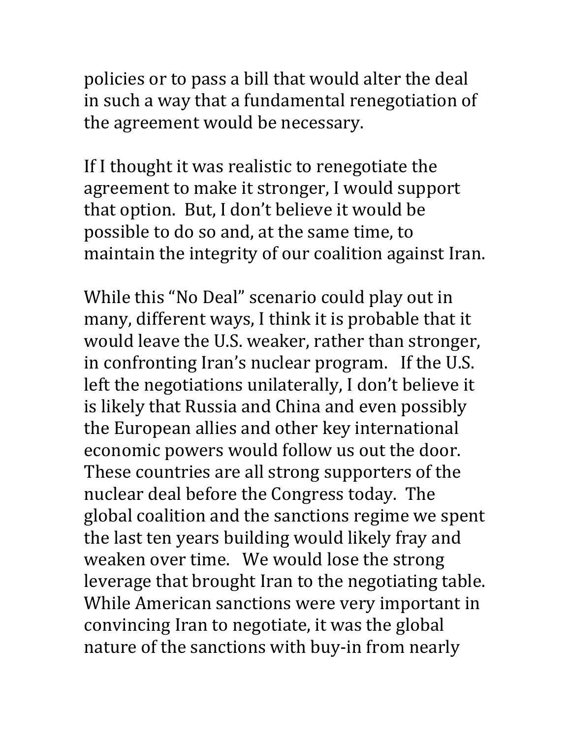policies or to pass a bill that would alter the deal in such a way that a fundamental renegotiation of the agreement would be necessary.

If I thought it was realistic to renegotiate the agreement to make it stronger, I would support that option. But, I don't believe it would be possible to do so and, at the same time, to maintain the integrity of our coalition against Iran.

While this "No Deal" scenario could play out in many, different ways, I think it is probable that it would leave the U.S. weaker, rather than stronger, in confronting Iran's nuclear program. If the U.S. left the negotiations unilaterally, I don't believe it is likely that Russia and China and even possibly the European allies and other key international economic powers would follow us out the door. These countries are all strong supporters of the nuclear deal before the Congress today. The global coalition and the sanctions regime we spent the last ten years building would likely fray and weaken over time. We would lose the strong leverage that brought Iran to the negotiating table. While American sanctions were very important in convincing Iran to negotiate, it was the global nature of the sanctions with buy-in from nearly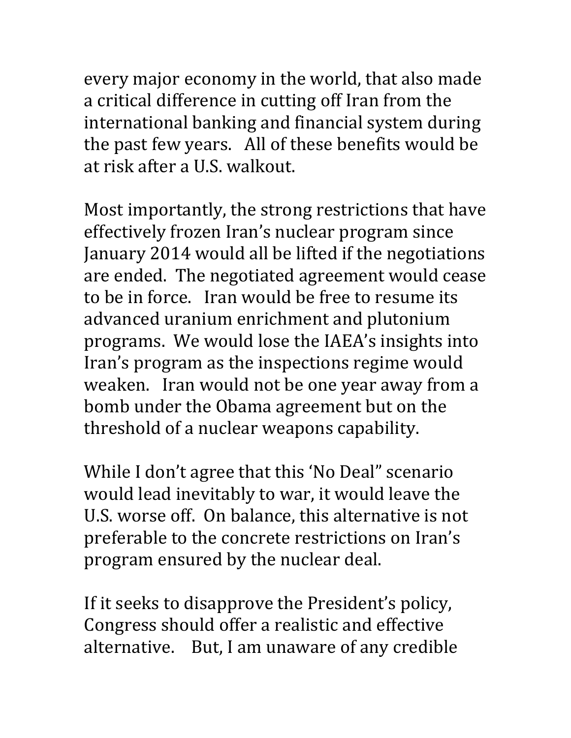every major economy in the world, that also made a critical difference in cutting off Iran from the international banking and financial system during the past few years. All of these benefits would be at risk after a U.S. walkout.

Most importantly, the strong restrictions that have effectively frozen Iran's nuclear program since January 2014 would all be lifted if the negotiations are ended. The negotiated agreement would cease to be in force. Iran would be free to resume its advanced uranium enrichment and plutonium programs. We would lose the IAEA's insights into Iran's program as the inspections regime would weaken. Iran would not be one year away from a bomb under the Obama agreement but on the threshold of a nuclear weapons capability.

While I don't agree that this 'No Deal" scenario would lead inevitably to war, it would leave the U.S. worse off. On balance, this alternative is not preferable to the concrete restrictions on Iran's program ensured by the nuclear deal.

If it seeks to disapprove the President's policy, Congress should offer a realistic and effective alternative. But, I am unaware of any credible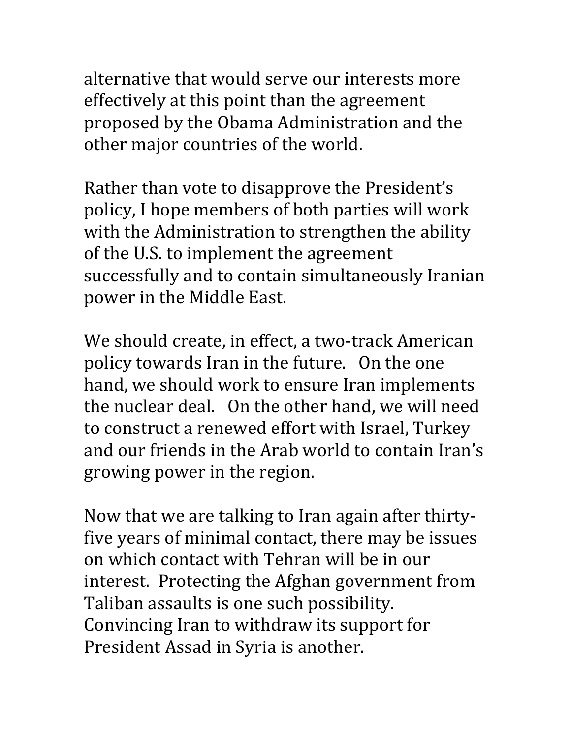alternative that would serve our interests more effectively at this point than the agreement proposed by the Obama Administration and the other major countries of the world.

Rather than vote to disapprove the President's policy, I hope members of both parties will work with the Administration to strengthen the ability of the U.S. to implement the agreement successfully and to contain simultaneously Iranian power in the Middle East.

We should create, in effect, a two-track American policy towards Iran in the future. On the one hand, we should work to ensure Iran implements the nuclear deal. On the other hand, we will need to construct a renewed effort with Israel, Turkey and our friends in the Arab world to contain Iran's growing power in the region.

Now that we are talking to Iran again after thirtyfive years of minimal contact, there may be issues on which contact with Tehran will be in our interest. Protecting the Afghan government from Taliban assaults is one such possibility. Convincing Iran to withdraw its support for President Assad in Syria is another.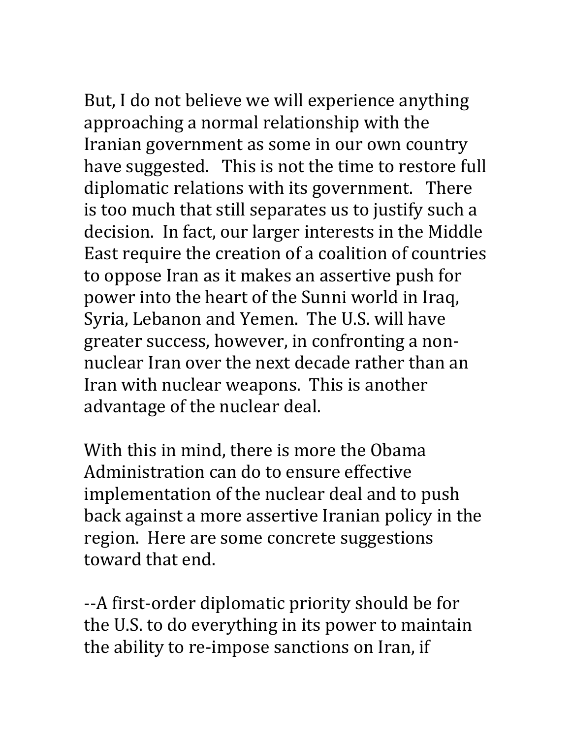But, I do not believe we will experience anything approaching a normal relationship with the Iranian government as some in our own country have suggested. This is not the time to restore full diplomatic relations with its government. There is too much that still separates us to justify such a decision. In fact, our larger interests in the Middle East require the creation of a coalition of countries to oppose Iran as it makes an assertive push for power into the heart of the Sunni world in Iraq, Syria, Lebanon and Yemen. The U.S. will have greater success, however, in confronting a nonnuclear Iran over the next decade rather than an Iran with nuclear weapons. This is another advantage of the nuclear deal.

With this in mind, there is more the Obama Administration can do to ensure effective implementation of the nuclear deal and to push back against a more assertive Iranian policy in the region. Here are some concrete suggestions toward that end.

--A first-order diplomatic priority should be for the U.S. to do everything in its power to maintain the ability to re-impose sanctions on Iran, if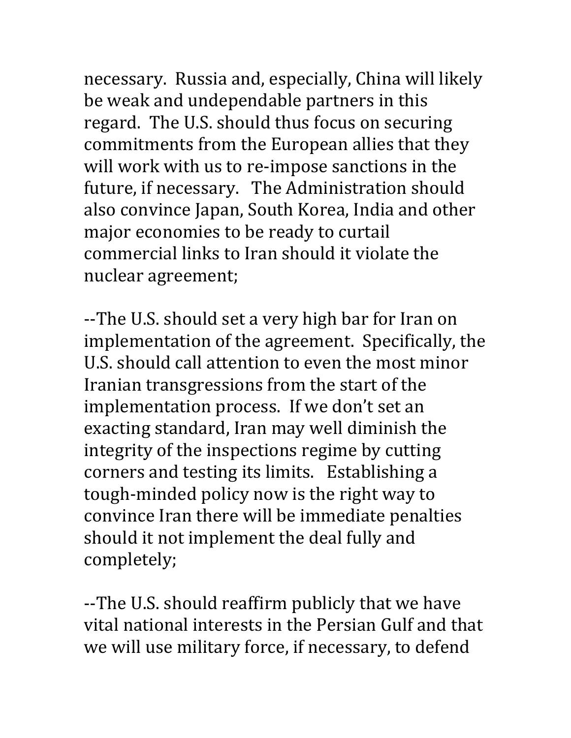necessary. Russia and, especially, China will likely be weak and undependable partners in this regard. The U.S. should thus focus on securing commitments from the European allies that they will work with us to re-impose sanctions in the future, if necessary. The Administration should also convince Japan, South Korea, India and other major economies to be ready to curtail commercial links to Iran should it violate the nuclear agreement;

--The U.S. should set a very high bar for Iran on implementation of the agreement. Specifically, the U.S. should call attention to even the most minor Iranian transgressions from the start of the implementation process. If we don't set an exacting standard, Iran may well diminish the integrity of the inspections regime by cutting corners and testing its limits. Establishing a tough-minded policy now is the right way to convince Iran there will be immediate penalties should it not implement the deal fully and completely;

--The U.S. should reaffirm publicly that we have vital national interests in the Persian Gulf and that we will use military force, if necessary, to defend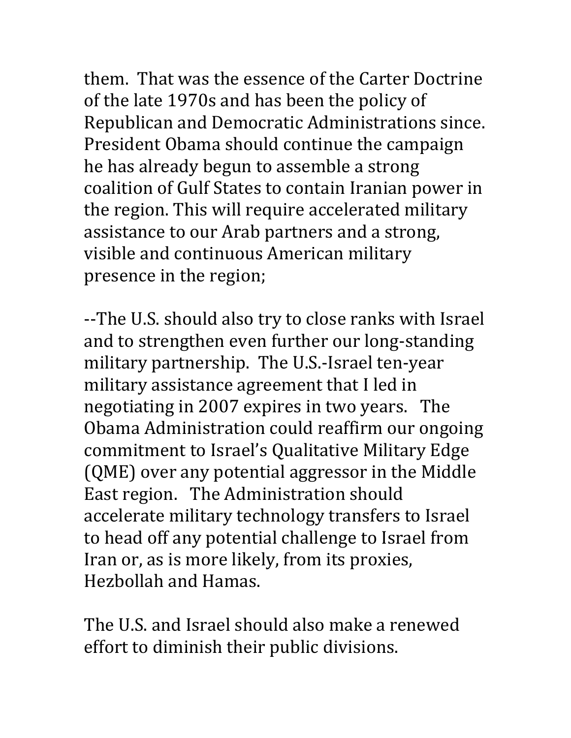them. That was the essence of the Carter Doctrine of the late 1970s and has been the policy of Republican and Democratic Administrations since. President Obama should continue the campaign he has already begun to assemble a strong coalition of Gulf States to contain Iranian power in the region. This will require accelerated military assistance to our Arab partners and a strong, visible and continuous American military presence in the region;

--The U.S. should also try to close ranks with Israel and to strengthen even further our long-standing military partnership. The U.S.-Israel ten-year military assistance agreement that I led in negotiating in 2007 expires in two years. The Obama Administration could reaffirm our ongoing commitment to Israel's Qualitative Military Edge (QME) over any potential aggressor in the Middle East region. The Administration should accelerate military technology transfers to Israel to head off any potential challenge to Israel from Iran or, as is more likely, from its proxies, Hezbollah and Hamas.

The U.S. and Israel should also make a renewed effort to diminish their public divisions.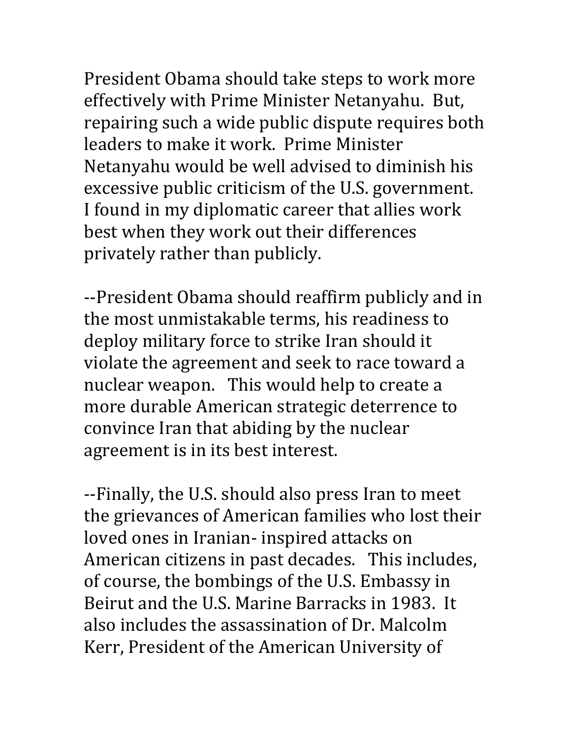President Obama should take steps to work more effectively with Prime Minister Netanyahu. But, repairing such a wide public dispute requires both leaders to make it work. Prime Minister Netanyahu would be well advised to diminish his excessive public criticism of the U.S. government. I found in my diplomatic career that allies work best when they work out their differences privately rather than publicly.

--President Obama should reaffirm publicly and in the most unmistakable terms, his readiness to deploy military force to strike Iran should it violate the agreement and seek to race toward a nuclear weapon. This would help to create a more durable American strategic deterrence to convince Iran that abiding by the nuclear agreement is in its best interest.

--Finally, the U.S. should also press Iran to meet the grievances of American families who lost their loved ones in Iranian- inspired attacks on American citizens in past decades. This includes, of course, the bombings of the U.S. Embassy in Beirut and the U.S. Marine Barracks in 1983. It also includes the assassination of Dr. Malcolm Kerr, President of the American University of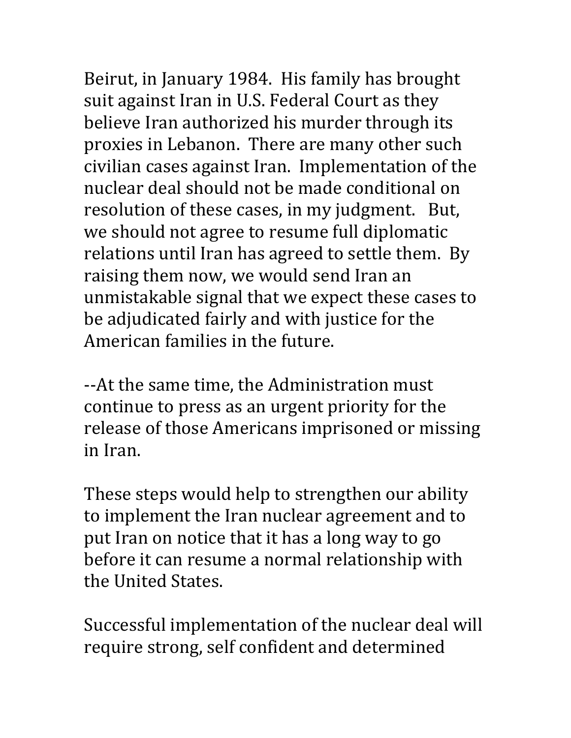Beirut, in January 1984. His family has brought suit against Iran in U.S. Federal Court as they believe Iran authorized his murder through its proxies in Lebanon. There are many other such civilian cases against Iran. Implementation of the nuclear deal should not be made conditional on resolution of these cases, in my judgment. But, we should not agree to resume full diplomatic relations until Iran has agreed to settle them. By raising them now, we would send Iran an unmistakable signal that we expect these cases to be adjudicated fairly and with justice for the American families in the future.

--At the same time, the Administration must continue to press as an urgent priority for the release of those Americans imprisoned or missing in Iran.

These steps would help to strengthen our ability to implement the Iran nuclear agreement and to put Iran on notice that it has a long way to go before it can resume a normal relationship with the United States.

Successful implementation of the nuclear deal will require strong, self confident and determined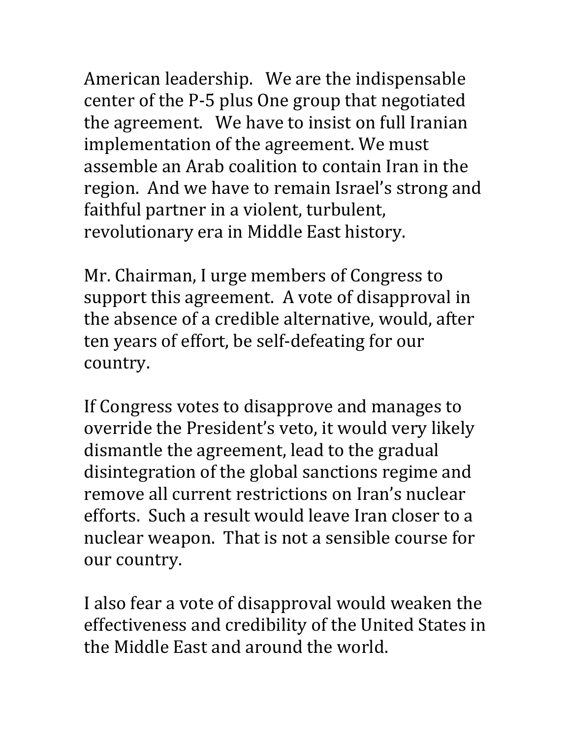American leadership. We are the indispensable center of the P-5 plus One group that negotiated the agreement. We have to insist on full Iranian implementation of the agreement. We must assemble an Arab coalition to contain Iran in the region. And we have to remain Israel's strong and faithful partner in a violent, turbulent, revolutionary era in Middle East history.

Mr. Chairman, I urge members of Congress to support this agreement. A vote of disapproval in the absence of a credible alternative, would, after ten years of effort, be self-defeating for our country.

If Congress votes to disapprove and manages to override the President's veto, it would very likely dismantle the agreement, lead to the gradual disintegration of the global sanctions regime and remove all current restrictions on Iran's nuclear efforts. Such a result would leave Iran closer to a nuclear weapon. That is not a sensible course for our country.

I also fear a vote of disapproval would weaken the effectiveness and credibility of the United States in the Middle East and around the world.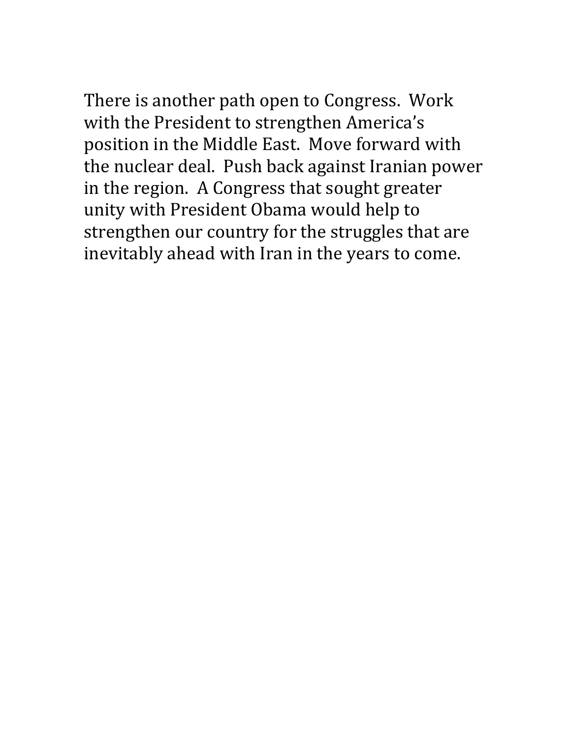There is another path open to Congress. Work with the President to strengthen America's position in the Middle East. Move forward with the nuclear deal. Push back against Iranian power in the region. A Congress that sought greater unity with President Obama would help to strengthen our country for the struggles that are inevitably ahead with Iran in the years to come.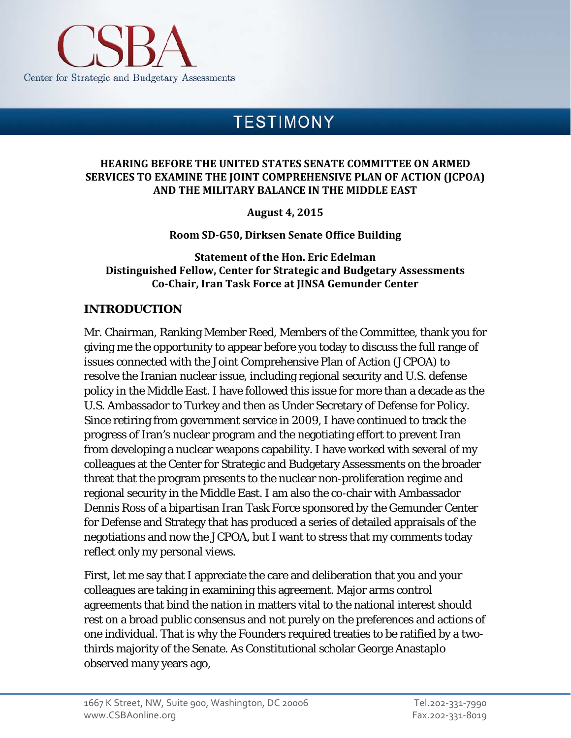<span id="page-29-0"></span>

# **TESTIMONY**

#### **HEARING BEFORE THE UNITED STATES SENATE COMMITTEE ON ARMED SERVICES TO EXAMINE THE JOINT COMPREHENSIVE PLAN OF ACTION (JCPOA) AND THE MILITARY BALANCE IN THE MIDDLE EAST**

**August 4, 2015**

**Room SD-G50, Dirksen Senate Office Building**

**Statement of the Hon. Eric Edelman Distinguished Fellow, Center for Strategic and Budgetary Assessments Co-Chair, Iran Task Force at JINSA Gemunder Center**

### **INTRODUCTION**

Mr. Chairman, Ranking Member Reed, Members of the Committee, thank you for giving me the opportunity to appear before you today to discuss the full range of issues connected with the Joint Comprehensive Plan of Action (JCPOA) to resolve the Iranian nuclear issue, including regional security and U.S. defense policy in the Middle East. I have followed this issue for more than a decade as the U.S. Ambassador to Turkey and then as Under Secretary of Defense for Policy. Since retiring from government service in 2009, I have continued to track the progress of Iran's nuclear program and the negotiating effort to prevent Iran from developing a nuclear weapons capability. I have worked with several of my colleagues at the Center for Strategic and Budgetary Assessments on the broader threat that the program presents to the nuclear non-proliferation regime and regional security in the Middle East. I am also the co-chair with Ambassador Dennis Ross of a bipartisan Iran Task Force sponsored by the Gemunder Center for Defense and Strategy that has produced a series of detailed appraisals of the negotiations and now the JCPOA, but I want to stress that my comments today reflect only my personal views.

First, let me say that I appreciate the care and deliberation that you and your colleagues are taking in examining this agreement. Major arms control agreements that bind the nation in matters vital to the national interest should rest on a broad public consensus and not purely on the preferences and actions of one individual. That is why the Founders required treaties to be ratified by a twothirds majority of the Senate. As Constitutional scholar George Anastaplo observed many years ago,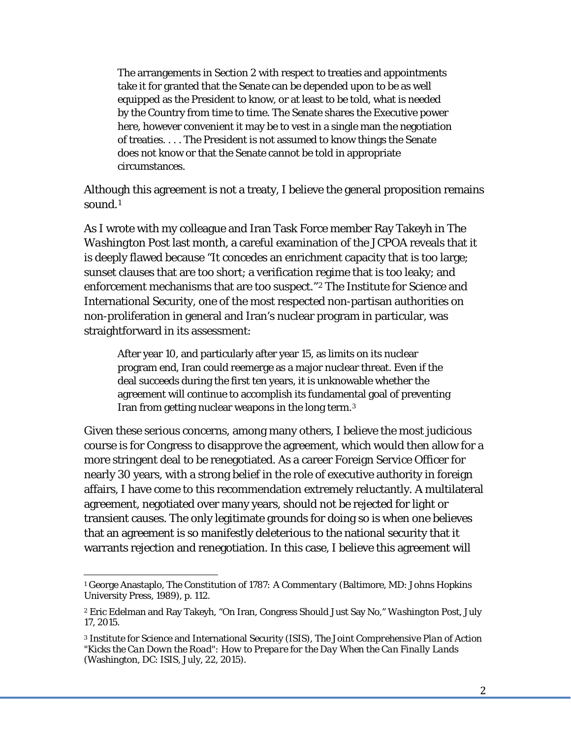The arrangements in Section 2 with respect to treaties and appointments take it for granted that the Senate can be depended upon to be as well equipped as the President to know, or at least to be told, what is needed by the Country from time to time. The Senate shares the Executive power here, however convenient it may be to vest in a single man the negotiation of treaties. . . . The President is not assumed to know things the Senate does not know or that the Senate cannot be told in appropriate circumstances.

Although this agreement is not a treaty, I believe the general proposition remains sound.<sup>[1](#page-30-0)</sup>

As I wrote with my colleague and Iran Task Force member Ray Takeyh in *The Washington Post* last month, a careful examination of the JCPOA reveals that it is deeply flawed because "It concedes an enrichment capacity that is too large; sunset clauses that are too short; a verification regime that is too leaky; and enforcement mechanisms that are too suspect."[2](#page-30-1) The Institute for Science and International Security, one of the most respected non-partisan authorities on non-proliferation in general and Iran's nuclear program in particular, was straightforward in its assessment:

After year 10, and particularly after year 15, as limits on its nuclear program end, Iran could reemerge as a major nuclear threat. Even if the deal succeeds during the first ten years, it is unknowable whether the agreement will continue to accomplish its fundamental goal of preventing Iran from getting nuclear weapons in the long term.[3](#page-30-2)

Given these serious concerns, among many others, I believe the most judicious course is for Congress to disapprove the agreement, which would then allow for a more stringent deal to be renegotiated. As a career Foreign Service Officer for nearly 30 years, with a strong belief in the role of executive authority in foreign affairs, I have come to this recommendation extremely reluctantly. A multilateral agreement, negotiated over many years, should not be rejected for light or transient causes. The only legitimate grounds for doing so is when one believes that an agreement is so manifestly deleterious to the national security that it warrants rejection and renegotiation. In this case, I believe this agreement will

<span id="page-30-0"></span><sup>1</sup> George Anastaplo, *The Constitution of 1787: A Commentary* (Baltimore, MD: Johns Hopkins University Press, 1989), p. 112.

<span id="page-30-1"></span><sup>2</sup> Eric Edelman and Ray Takeyh, "On Iran, Congress Should Just Say No," *Washington Post*, July 17, 2015.

<span id="page-30-2"></span><sup>3</sup> Institute for Science and International Security (ISIS), *The Joint Comprehensive Plan of Action "Kicks the Can Down the Road": How to Prepare for the Day When the Can Finally Lands* (Washington, DC: ISIS, July, 22, 2015).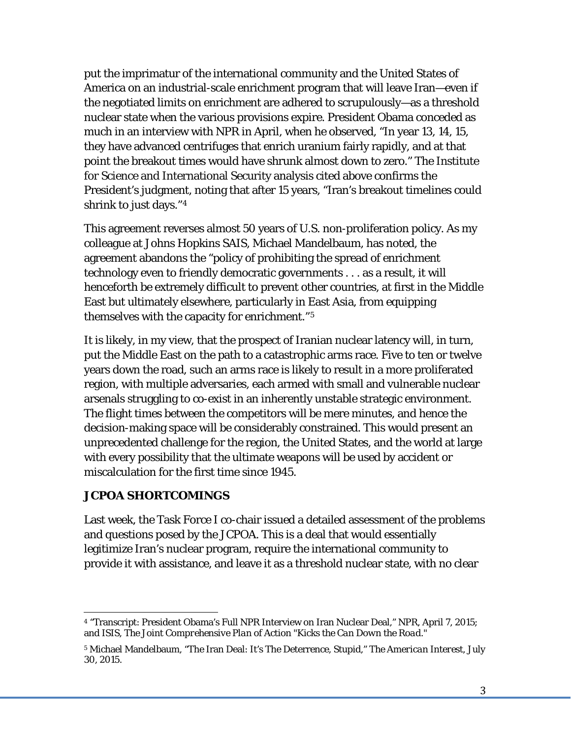put the imprimatur of the international community and the United States of America on an industrial-scale enrichment program that will leave Iran—even if the negotiated limits on enrichment are adhered to scrupulously—as a threshold nuclear state when the various provisions expire. President Obama conceded as much in an interview with NPR in April, when he observed, "In year 13, 14, 15, they have advanced centrifuges that enrich uranium fairly rapidly, and at that point the breakout times would have shrunk almost down to zero." The Institute for Science and International Security analysis cited above confirms the President's judgment, noting that after 15 years, "Iran's breakout timelines could shrink to just days."[4](#page-31-0)

This agreement reverses almost 50 years of U.S. non-proliferation policy. As my colleague at Johns Hopkins SAIS, Michael Mandelbaum, has noted, the agreement abandons the "policy of prohibiting the spread of enrichment technology even to friendly democratic governments . . . as a result, it will henceforth be extremely difficult to prevent other countries, at first in the Middle East but ultimately elsewhere, particularly in East Asia, from equipping themselves with the capacity for enrichment."[5](#page-31-1)

It is likely, in my view, that the prospect of Iranian nuclear latency will, in turn, put the Middle East on the path to a catastrophic arms race. Five to ten or twelve years down the road, such an arms race is likely to result in a more proliferated region, with multiple adversaries, each armed with small and vulnerable nuclear arsenals struggling to co-exist in an inherently unstable strategic environment. The flight times between the competitors will be mere minutes, and hence the decision-making space will be considerably constrained. This would present an unprecedented challenge for the region, the United States, and the world at large with every possibility that the ultimate weapons will be used by accident or miscalculation for the first time since 1945.

### **JCPOA SHORTCOMINGS**

Last week, the Task Force I co-chair issued a detailed assessment of the problems and questions posed by the JCPOA. This is a deal that would essentially legitimize Iran's nuclear program, require the international community to provide it with assistance, and leave it as a threshold nuclear state, with no clear

<span id="page-31-0"></span><sup>4</sup> "Transcript: President Obama's Full NPR Interview on Iran Nuclear Deal," *NPR*, April 7, 2015; and ISIS, *The Joint Comprehensive Plan of Action "Kicks the Can Down the Road*."

<span id="page-31-1"></span><sup>5</sup> Michael Mandelbaum, "The Iran Deal: It's The Deterrence, Stupid," *The American Interest*, July 30, 2015.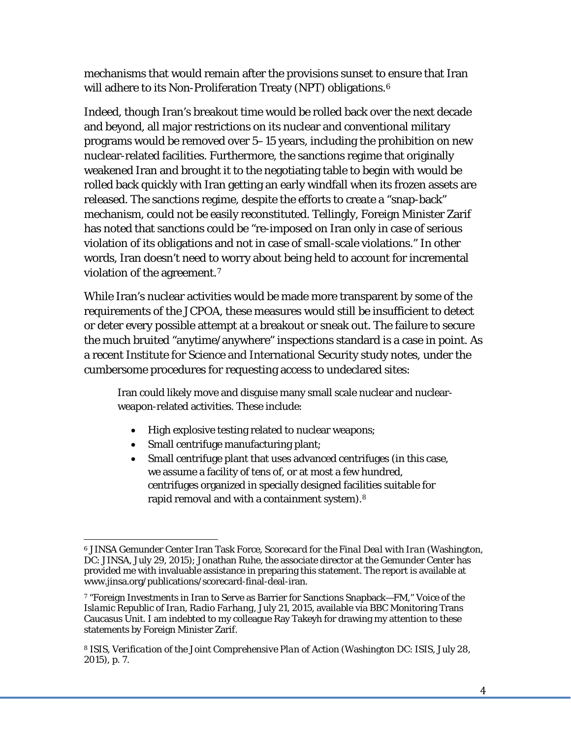mechanisms that would remain after the provisions sunset to ensure that Iran will adhere to its Non-Proliferation Treaty (NPT) obligations.<sup>[6](#page-32-0)</sup>

Indeed, though Iran's breakout time would be rolled back over the next decade and beyond, all major restrictions on its nuclear and conventional military programs would be removed over 5–15 years, including the prohibition on new nuclear-related facilities. Furthermore, the sanctions regime that originally weakened Iran and brought it to the negotiating table to begin with would be rolled back quickly with Iran getting an early windfall when its frozen assets are released. The sanctions regime, despite the efforts to create a "snap-back" mechanism, could not be easily reconstituted. Tellingly, Foreign Minister Zarif has noted that sanctions could be "re-imposed on Iran only in case of serious violation of its obligations and not in case of small-scale violations." In other words, Iran doesn't need to worry about being held to account for incremental violation of the agreement.[7](#page-32-1)

While Iran's nuclear activities would be made more transparent by some of the requirements of the JCPOA, these measures would still be insufficient to detect or deter every possible attempt at a breakout or sneak out. The failure to secure the much bruited "anytime/anywhere" inspections standard is a case in point. As a recent Institute for Science and International Security study notes, under the cumbersome procedures for requesting access to undeclared sites:

Iran could likely move and disguise many small scale nuclear and nuclearweapon-related activities. These include:

- High explosive testing related to nuclear weapons;
- Small centrifuge manufacturing plant;
- Small centrifuge plant that uses advanced centrifuges (in this case, we assume a facility of tens of, or at most a few hundred, centrifuges organized in specially designed facilities suitable for rapid removal and with a containment system).[8](#page-32-2)

<span id="page-32-0"></span><sup>6</sup> JINSA Gemunder Center Iran Task Force, *Scorecard for the Final Deal with Iran* (Washington, DC: JINSA, July 29, 2015); Jonathan Ruhe, the associate director at the Gemunder Center has provided me with invaluable assistance in preparing this statement. The report is available at [www.jinsa.org/publications/scorecard-final-deal-iran.](http://www.jinsa.org/publications/scorecard-final-deal-iran)

<span id="page-32-1"></span><sup>7</sup> "Foreign Investments in Iran to Serve as Barrier for Sanctions Snapback—FM," *Voice of the Islamic Republic of Iran, Radio Farhang*, July 21, 2015, available via BBC Monitoring Trans Caucasus Unit. I am indebted to my colleague Ray Takeyh for drawing my attention to these statements by Foreign Minister Zarif.

<span id="page-32-2"></span><sup>8</sup> ISIS, *Verification of the Joint Comprehensive Plan of Action* (Washington DC: ISIS, July 28, 2015), p. 7.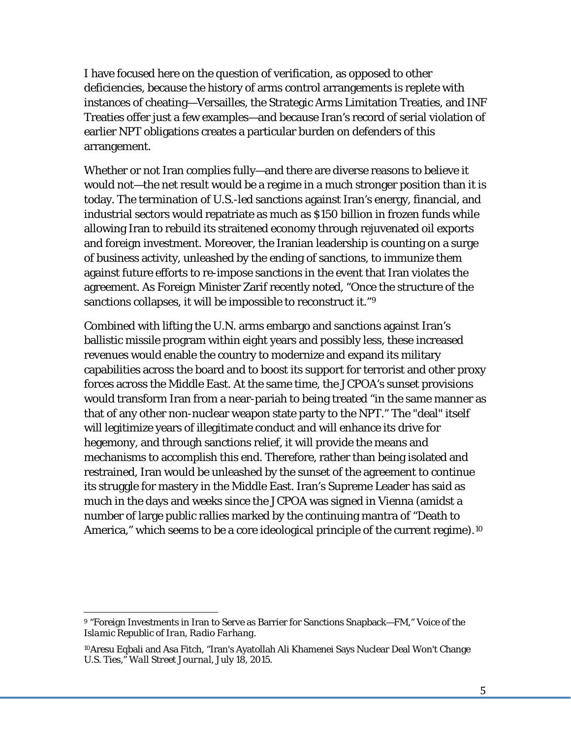I have focused here on the question of verification, as opposed to other deficiencies, because the history of arms control arrangements is replete with instances of cheating—Versailles, the Strategic Arms Limitation Treaties, and INF Treaties offer just a few examples—and because Iran's record of serial violation of earlier NPT obligations creates a particular burden on defenders of this arrangement.

Whether or not Iran complies fully—and there are diverse reasons to believe it would not—the net result would be a regime in a much stronger position than it is today. The termination of U.S.-led sanctions against Iran's energy, financial, and industrial sectors would repatriate as much as \$150 billion in frozen funds while allowing Iran to rebuild its straitened economy through rejuvenated oil exports and foreign investment. Moreover, the Iranian leadership is counting on a surge of business activity, unleashed by the ending of sanctions, to immunize them against future efforts to re-impose sanctions in the event that Iran violates the agreement. As Foreign Minister Zarif recently noted, "Once the structure of the sanctions collapses, it will be impossible to reconstruct it."<sup>[9](#page-33-0)</sup>

Combined with lifting the U.N. arms embargo and sanctions against Iran's ballistic missile program within eight years and possibly less, these increased revenues would enable the country to modernize and expand its military capabilities across the board and to boost its support for terrorist and other proxy forces across the Middle East. At the same time, the JCPOA's sunset provisions would transform Iran from a near-pariah to being treated "in the same manner as that of any other non-nuclear weapon state party to the NPT." The "deal" itself will legitimize years of illegitimate conduct and will enhance its drive for hegemony, and through sanctions relief, it will provide the means and mechanisms to accomplish this end. Therefore, rather than being isolated and restrained, Iran would be unleashed by the sunset of the agreement to continue its struggle for mastery in the Middle East. Iran's Supreme Leader has said as much in the days and weeks since the JCPOA was signed in Vienna (amidst a number of large public rallies marked by the continuing mantra of "Death to America," which seems to be a core ideological principle of the current regime).<sup>[10](#page-33-1)</sup>

<span id="page-33-0"></span><sup>9</sup> "Foreign Investments in Iran to Serve as Barrier for Sanctions Snapback—FM," *Voice of the Islamic Republic of Iran, Radio Farhang*.

<span id="page-33-1"></span><sup>10</sup>Aresu Eqbali and Asa Fitch, "Iran's Ayatollah Ali Khamenei Says Nuclear Deal Won't Change U.S. Ties," *Wall Street Journal*, July 18, 2015.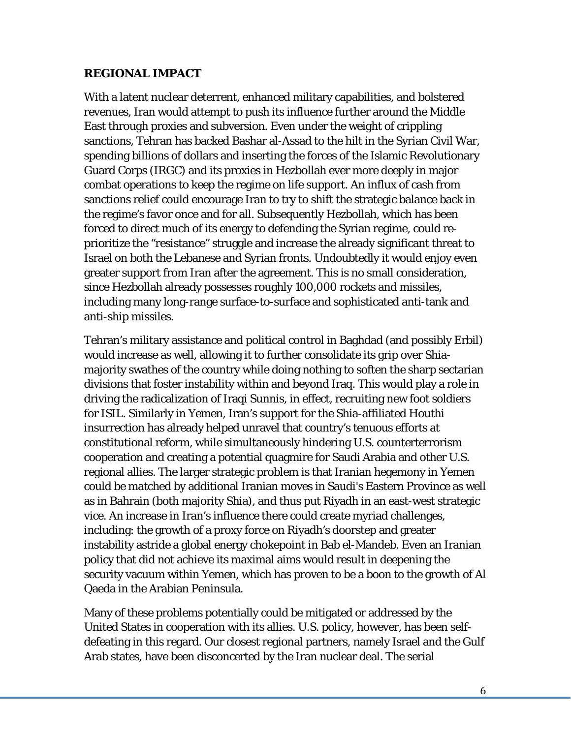#### **REGIONAL IMPACT**

With a latent nuclear deterrent, enhanced military capabilities, and bolstered revenues, Iran would attempt to push its influence further around the Middle East through proxies and subversion. Even under the weight of crippling sanctions, Tehran has backed Bashar al-Assad to the hilt in the Syrian Civil War, spending billions of dollars and inserting the forces of the Islamic Revolutionary Guard Corps (IRGC) and its proxies in Hezbollah ever more deeply in major combat operations to keep the regime on life support. An influx of cash from sanctions relief could encourage Iran to try to shift the strategic balance back in the regime's favor once and for all. Subsequently Hezbollah, which has been forced to direct much of its energy to defending the Syrian regime, could reprioritize the "resistance" struggle and increase the already significant threat to Israel on both the Lebanese and Syrian fronts. Undoubtedly it would enjoy even greater support from Iran after the agreement. This is no small consideration, since Hezbollah already possesses roughly 100,000 rockets and missiles, including many long-range surface-to-surface and sophisticated anti-tank and anti-ship missiles.

Tehran's military assistance and political control in Baghdad (and possibly Erbil) would increase as well, allowing it to further consolidate its grip over Shiamajority swathes of the country while doing nothing to soften the sharp sectarian divisions that foster instability within and beyond Iraq. This would play a role in driving the radicalization of Iraqi Sunnis, in effect, recruiting new foot soldiers for ISIL. Similarly in Yemen, Iran's support for the Shia-affiliated Houthi insurrection has already helped unravel that country's tenuous efforts at constitutional reform, while simultaneously hindering U.S. counterterrorism cooperation and creating a potential quagmire for Saudi Arabia and other U.S. regional allies. The larger strategic problem is that Iranian hegemony in Yemen could be matched by additional Iranian moves in Saudi's Eastern Province as well as in Bahrain (both majority Shia), and thus put Riyadh in an east-west strategic vice. An increase in Iran's influence there could create myriad challenges, including: the growth of a proxy force on Riyadh's doorstep and greater instability astride a global energy chokepoint in Bab el-Mandeb. Even an Iranian policy that did not achieve its maximal aims would result in deepening the security vacuum within Yemen, which has proven to be a boon to the growth of Al Qaeda in the Arabian Peninsula.

Many of these problems potentially could be mitigated or addressed by the United States in cooperation with its allies. U.S. policy, however, has been selfdefeating in this regard. Our closest regional partners, namely Israel and the Gulf Arab states, have been disconcerted by the Iran nuclear deal. The serial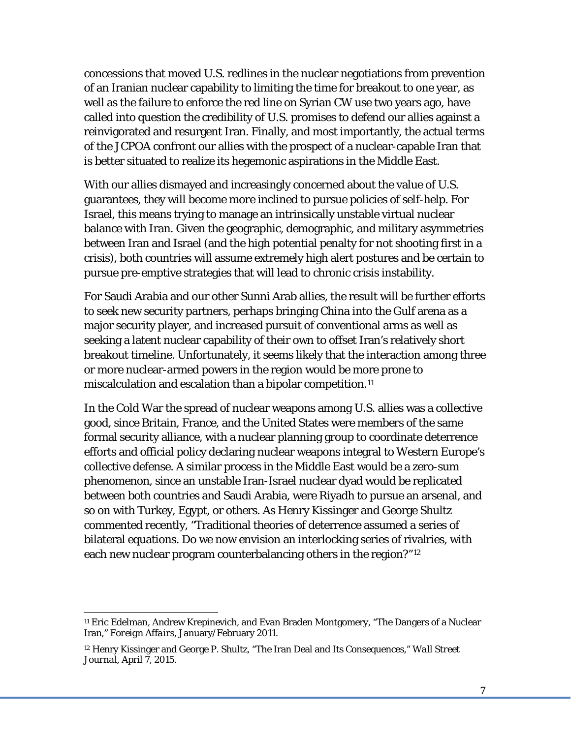concessions that moved U.S. redlines in the nuclear negotiations from prevention of an Iranian nuclear capability to limiting the time for breakout to one year, as well as the failure to enforce the red line on Syrian CW use two years ago, have called into question the credibility of U.S. promises to defend our allies against a reinvigorated and resurgent Iran. Finally, and most importantly, the actual terms of the JCPOA confront our allies with the prospect of a nuclear-capable Iran that is better situated to realize its hegemonic aspirations in the Middle East.

With our allies dismayed and increasingly concerned about the value of U.S. guarantees, they will become more inclined to pursue policies of self-help. For Israel, this means trying to manage an intrinsically unstable virtual nuclear balance with Iran. Given the geographic, demographic, and military asymmetries between Iran and Israel (and the high potential penalty for not shooting first in a crisis), both countries will assume extremely high alert postures and be certain to pursue pre-emptive strategies that will lead to chronic crisis instability.

For Saudi Arabia and our other Sunni Arab allies, the result will be further efforts to seek new security partners, perhaps bringing China into the Gulf arena as a major security player, and increased pursuit of conventional arms as well as seeking a latent nuclear capability of their own to offset Iran's relatively short breakout timeline. Unfortunately, it seems likely that the interaction among three or more nuclear-armed powers in the region would be more prone to miscalculation and escalation than a bipolar competition.<sup>[11](#page-35-0)</sup>

In the Cold War the spread of nuclear weapons among U.S. allies was a collective good, since Britain, France, and the United States were members of the same formal security alliance, with a nuclear planning group to coordinate deterrence efforts and official policy declaring nuclear weapons integral to Western Europe's collective defense. A similar process in the Middle East would be a zero-sum phenomenon, since an unstable Iran-Israel nuclear dyad would be replicated between both countries and Saudi Arabia, were Riyadh to pursue an arsenal, and so on with Turkey, Egypt, or others. As Henry Kissinger and George Shultz commented recently, "Traditional theories of deterrence assumed a series of bilateral equations. Do we now envision an interlocking series of rivalries, with each new nuclear program counterbalancing others in the region?"[12](#page-35-1)

<span id="page-35-0"></span><sup>11</sup> Eric Edelman, Andrew Krepinevich, and Evan Braden Montgomery, "The Dangers of a Nuclear Iran," *Foreign Affairs*, January/February 2011.

<span id="page-35-1"></span><sup>12</sup> Henry Kissinger and George P. Shultz, "The Iran Deal and Its Consequences," *Wall Street Journal*, April 7, 2015.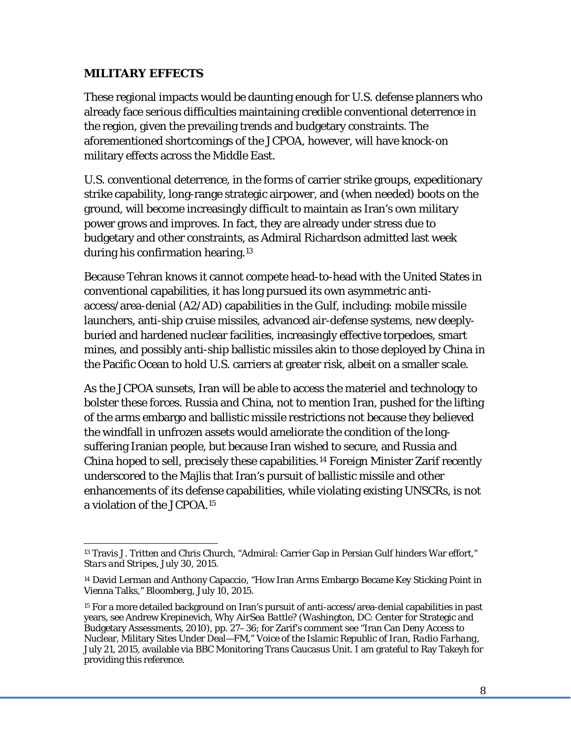#### **MILITARY EFFECTS**

These regional impacts would be daunting enough for U.S. defense planners who already face serious difficulties maintaining credible conventional deterrence in the region, given the prevailing trends and budgetary constraints. The aforementioned shortcomings of the JCPOA, however, will have knock-on military effects across the Middle East.

U.S. conventional deterrence, in the forms of carrier strike groups, expeditionary strike capability, long-range strategic airpower, and (when needed) boots on the ground, will become increasingly difficult to maintain as Iran's own military power grows and improves. In fact, they are already under stress due to budgetary and other constraints, as Admiral Richardson admitted last week during his confirmation hearing.[13](#page-36-0)

Because Tehran knows it cannot compete head-to-head with the United States in conventional capabilities, it has long pursued its own asymmetric antiaccess/area-denial (A2/AD) capabilities in the Gulf, including: mobile missile launchers, anti-ship cruise missiles, advanced air-defense systems, new deeplyburied and hardened nuclear facilities, increasingly effective torpedoes, smart mines, and possibly anti-ship ballistic missiles akin to those deployed by China in the Pacific Ocean to hold U.S. carriers at greater risk, albeit on a smaller scale.

As the JCPOA sunsets, Iran will be able to access the materiel and technology to bolster these forces. Russia and China, not to mention Iran, pushed for the lifting of the arms embargo and ballistic missile restrictions not because they believed the windfall in unfrozen assets would ameliorate the condition of the longsuffering Iranian people, but because Iran wished to secure, and Russia and China hoped to sell, precisely these capabilities.[14](#page-36-1) Foreign Minister Zarif recently underscored to the Majlis that Iran's pursuit of ballistic missile and other enhancements of its defense capabilities, while violating existing UNSCRs, is not a violation of the JCPOA.[15](#page-36-2)

<span id="page-36-0"></span><sup>&</sup>lt;sup>13</sup> Travis J. Tritten and Chris Church, "Admiral: Carrier Gap in Persian Gulf hinders War effort," *Stars and Stripes*, July 30, 2015.

<span id="page-36-1"></span><sup>14</sup> David Lerman and Anthony Capaccio, "How Iran Arms Embargo Became Key Sticking Point in Vienna Talks," *Bloomberg*, July 10, 2015.

<span id="page-36-2"></span><sup>15</sup> For a more detailed background on Iran's pursuit of anti-access/area-denial capabilities in past years, see Andrew Krepinevich*, Why AirSea Battle?* (Washington, DC: Center for Strategic and Budgetary Assessments, 2010), pp. 27–36; for Zarif's comment see "Iran Can Deny Access to Nuclear, Military Sites Under Deal—FM," *Voice of the Islamic Republic of Iran, Radio Farhang*, July 21, 2015, available via BBC Monitoring Trans Caucasus Unit. I am grateful to Ray Takeyh for providing this reference.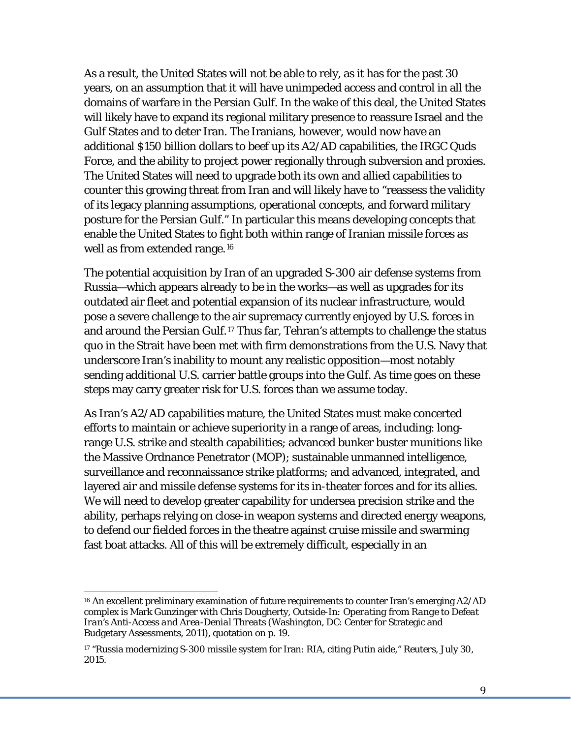As a result, the United States will not be able to rely, as it has for the past 30 years, on an assumption that it will have unimpeded access and control in all the domains of warfare in the Persian Gulf. In the wake of this deal, the United States will likely have to expand its regional military presence to reassure Israel and the Gulf States and to deter Iran. The Iranians, however, would now have an additional \$150 billion dollars to beef up its A2/AD capabilities, the IRGC Quds Force, and the ability to project power regionally through subversion and proxies. The United States will need to upgrade both its own and allied capabilities to counter this growing threat from Iran and will likely have to "reassess the validity of its legacy planning assumptions, operational concepts, and forward military posture for the Persian Gulf." In particular this means developing concepts that enable the United States to fight both within range of Iranian missile forces as well as from extended range.<sup>[16](#page-37-0)</sup>

The potential acquisition by Iran of an upgraded S-300 air defense systems from Russia—which appears already to be in the works—as well as upgrades for its outdated air fleet and potential expansion of its nuclear infrastructure, would pose a severe challenge to the air supremacy currently enjoyed by U.S. forces in and around the Persian Gulf.[17](#page-37-1) Thus far, Tehran's attempts to challenge the status quo in the Strait have been met with firm demonstrations from the U.S. Navy that underscore Iran's inability to mount any realistic opposition—most notably sending additional U.S. carrier battle groups into the Gulf. As time goes on these steps may carry greater risk for U.S. forces than we assume today.

As Iran's A2/AD capabilities mature, the United States must make concerted efforts to maintain or achieve superiority in a range of areas, including: longrange U.S. strike and stealth capabilities; advanced bunker buster munitions like the Massive Ordnance Penetrator (MOP); sustainable unmanned intelligence, surveillance and reconnaissance strike platforms; and advanced, integrated, and layered air and missile defense systems for its in-theater forces and for its allies. We will need to develop greater capability for undersea precision strike and the ability, perhaps relying on close-in weapon systems and directed energy weapons, to defend our fielded forces in the theatre against cruise missile and swarming fast boat attacks. All of this will be extremely difficult, especially in an

<span id="page-37-0"></span><sup>&</sup>lt;sup>16</sup> An excellent preliminary examination of future requirements to counter Iran's emerging A2/AD complex is Mark Gunzinger with Chris Dougherty, *Outside-In: Operating from Range to Defeat Iran's Anti-Access and Area-Denial Threat*s (Washington, DC: Center for Strategic and Budgetary Assessments, 2011), quotation on p. 19.

<span id="page-37-1"></span><sup>17</sup> "Russia modernizing S-300 missile system for Iran: RIA, citing Putin aide," *Reuters*, July 30, 2015.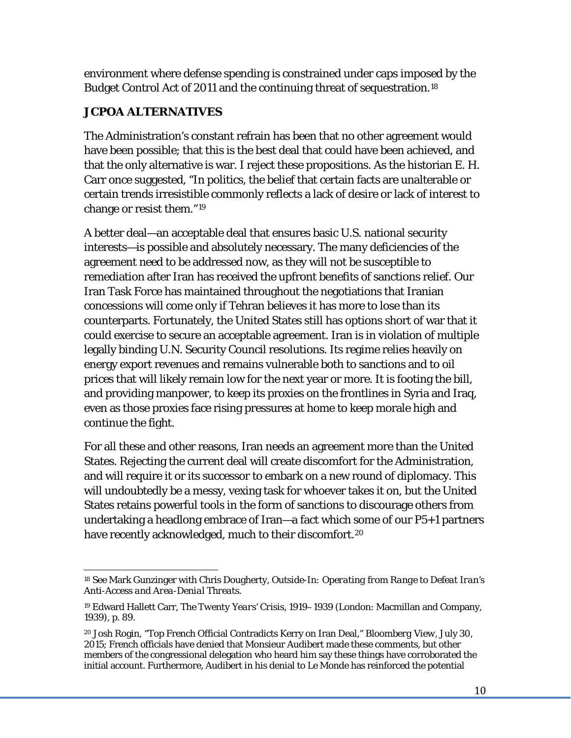environment where defense spending is constrained under caps imposed by the Budget Control Act of 2011 and the continuing threat of sequestration.[18](#page-38-0)

## **JCPOA ALTERNATIVES**

The Administration's constant refrain has been that no other agreement would have been possible; that this is the best deal that could have been achieved, and that the only alternative is war. I reject these propositions. As the historian E. H. Carr once suggested, "In politics, the belief that certain facts are unalterable or certain trends irresistible commonly reflects a lack of desire or lack of interest to change or resist them."[19](#page-38-1)

A better deal—an acceptable deal that ensures basic U.S. national security interests—is possible and absolutely necessary. The many deficiencies of the agreement need to be addressed now, as they will not be susceptible to remediation after Iran has received the upfront benefits of sanctions relief. Our Iran Task Force has maintained throughout the negotiations that Iranian concessions will come only if Tehran believes it has more to lose than its counterparts. Fortunately, the United States still has options short of war that it could exercise to secure an acceptable agreement. Iran is in violation of multiple legally binding U.N. Security Council resolutions. Its regime relies heavily on energy export revenues and remains vulnerable both to sanctions and to oil prices that will likely remain low for the next year or more. It is footing the bill, and providing manpower, to keep its proxies on the frontlines in Syria and Iraq, even as those proxies face rising pressures at home to keep morale high and continue the fight.

For all these and other reasons, Iran needs an agreement more than the United States. Rejecting the current deal will create discomfort for the Administration, and will require it or its successor to embark on a new round of diplomacy. This will undoubtedly be a messy, vexing task for whoever takes it on, but the United States retains powerful tools in the form of sanctions to discourage others from undertaking a headlong embrace of Iran—a fact which some of our P5+1 partners have recently acknowledged, much to their discomfort.<sup>[20](#page-38-2)</sup>

<span id="page-38-0"></span><sup>18</sup> See Mark Gunzinger with Chris Dougherty, *Outside-In: Operating from Range to Defeat Iran's Anti-Access and Area-Denial Threat*s.

<span id="page-38-1"></span><sup>19</sup> Edward Hallett Carr, *The Twenty Years' Crisis, 1919–1939* (London: Macmillan and Company, 1939), p. 89.

<span id="page-38-2"></span><sup>20</sup> Josh Rogin, "Top French Official Contradicts Kerry on Iran Deal," *Bloomberg View*, July 30, 2015; French officials have denied that Monsieur Audibert made these comments, but other members of the congressional delegation who heard him say these things have corroborated the initial account. Furthermore, Audibert in his denial to *Le Monde* has reinforced the potential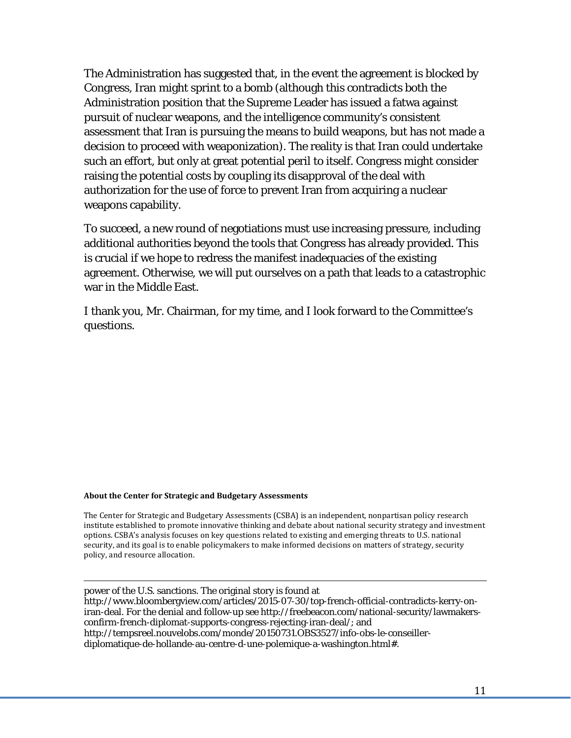The Administration has suggested that, in the event the agreement is blocked by Congress, Iran might sprint to a bomb (although this contradicts both the Administration position that the Supreme Leader has issued a fatwa against pursuit of nuclear weapons, and the intelligence community's consistent assessment that Iran is pursuing the means to build weapons, but has not made a decision to proceed with weaponization). The reality is that Iran could undertake such an effort, but only at great potential peril to itself. Congress might consider raising the potential costs by coupling its disapproval of the deal with authorization for the use of force to prevent Iran from acquiring a nuclear weapons capability.

To succeed, a new round of negotiations must use increasing pressure, including additional authorities beyond the tools that Congress has already provided. This is crucial if we hope to redress the manifest inadequacies of the existing agreement. Otherwise, we will put ourselves on a path that leads to a catastrophic war in the Middle East.

I thank you, Mr. Chairman, for my time, and I look forward to the Committee's questions.

#### **About the Center for Strategic and Budgetary Assessments**

The Center for Strategic and Budgetary Assessments (CSBA) is an independent, nonpartisan policy research institute established to promote innovative thinking and debate about national security strategy and investment options. CSBA's analysis focuses on key questions related to existing and emerging threats to U.S. national security, and its goal is to enable policymakers to make informed decisions on matters of strategy, security policy, and resource allocation.

 power of the U.S. sanctions. The original story is found at [http://www.bloombergview.com/articles/2015-07-30/top-french-official-contradicts-kerry-on](http://www.bloombergview.com/articles/2015-07-30/top-french-official-contradicts-kerry-on-iran-deal)[iran-deal.](http://www.bloombergview.com/articles/2015-07-30/top-french-official-contradicts-kerry-on-iran-deal) For the denial and follow-up see [http://freebeacon.com/national-security/lawmakers](http://freebeacon.com/national-security/lawmakers-confirm-french-diplomat-supports-congress-rejecting-iran-deal/)[confirm-french-diplomat-supports-congress-rejecting-iran-deal/;](http://freebeacon.com/national-security/lawmakers-confirm-french-diplomat-supports-congress-rejecting-iran-deal/) and http://tempsreel.nouvelobs.com/monde/20150731.OBS3527/info-obs-le-conseillerdiplomatique-de-hollande-au-centre-d-une-polemique-a-washington.html#.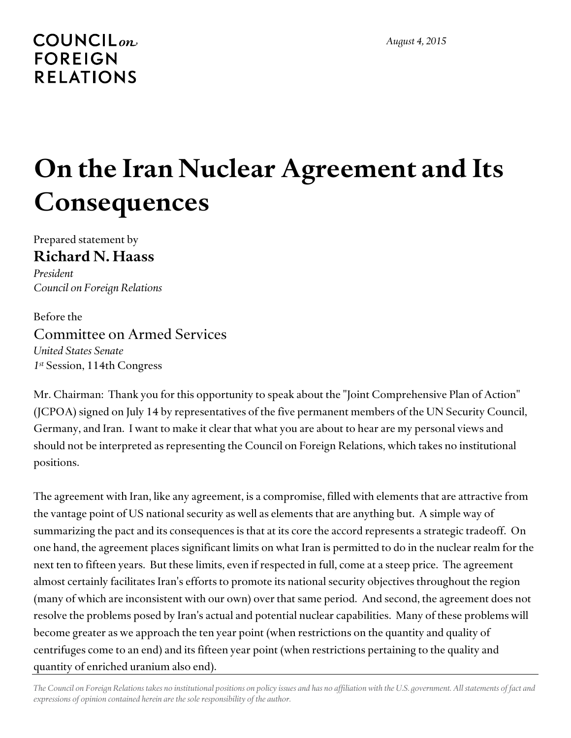# <span id="page-40-0"></span>**COUNCIL**<sub>on</sub> **FOREIGN RELATIONS**

# **On the Iran Nuclear Agreement and Its Consequences**

Prepared statement by **Richard N. Haass** 

*President Council on Foreign Relations* 

Before the Committee on Armed Services *United States Senate 1st* Session, 114th Congress

Mr. Chairman: Thank you for this opportunity to speak about the "Joint Comprehensive Plan of Action" (JCPOA) signed on July 14 by representatives of the five permanent members of the UN Security Council, Germany, and Iran. I want to make it clear that what you are about to hear are my personal views and should not be interpreted as representing the Council on Foreign Relations, which takes no institutional positions.

The agreement with Iran, like any agreement, is a compromise, filled with elements that are attractive from the vantage point of US national security as well as elements that are anything but. A simple way of summarizing the pact and its consequences is that at its core the accord represents a strategic tradeoff. On one hand, the agreement places significant limits on what Iran is permitted to do in the nuclear realm for the next ten to fifteen years. But these limits, even if respected in full, come at a steep price. The agreement almost certainly facilitates Iran's efforts to promote its national security objectives throughout the region (many of which are inconsistent with our own) over that same period. And second, the agreement does not resolve the problems posed by Iran's actual and potential nuclear capabilities. Many of these problems will become greater as we approach the ten year point (when restrictions on the quantity and quality of centrifuges come to an end) and its fifteen year point (when restrictions pertaining to the quality and quantity of enriched uranium also end).

*The Council on Foreign Relations takes no institutional positions on policy issues and has no affiliation with the U.S. government. All statements of fact and expressions of opinion contained herein are the sole responsibility of the author.*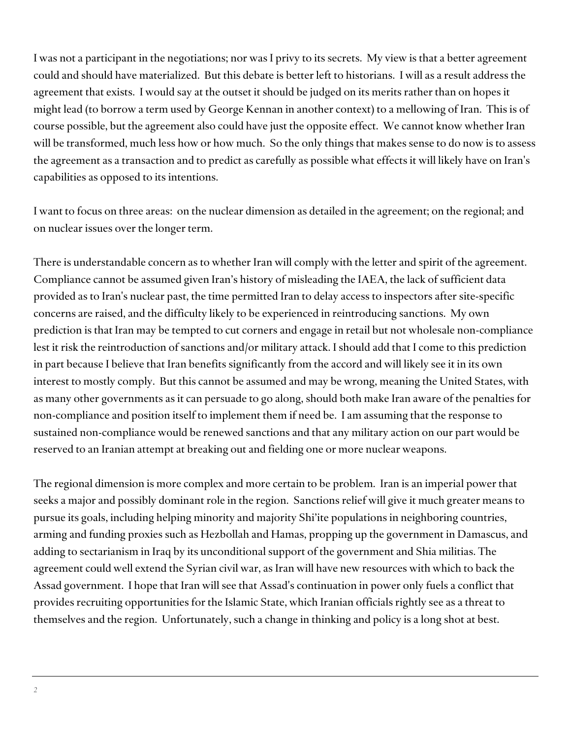I was not a participant in the negotiations; nor was I privy to its secrets. My view is that a better agreement could and should have materialized. But this debate is better left to historians. I will as a result address the agreement that exists. I would say at the outset it should be judged on its merits rather than on hopes it might lead (to borrow a term used by George Kennan in another context) to a mellowing of Iran. This is of course possible, but the agreement also could have just the opposite effect. We cannot know whether Iran will be transformed, much less how or how much. So the only things that makes sense to do now is to assess the agreement as a transaction and to predict as carefully as possible what effects it will likely have on Iran's capabilities as opposed to its intentions.

I want to focus on three areas: on the nuclear dimension as detailed in the agreement; on the regional; and on nuclear issues over the longer term.

There is understandable concern as to whether Iran will comply with the letter and spirit of the agreement. Compliance cannot be assumed given Iran's history of misleading the IAEA, the lack of sufficient data provided as to Iran's nuclear past, the time permitted Iran to delay access to inspectors after site-specific concerns are raised, and the difficulty likely to be experienced in reintroducing sanctions. My own prediction is that Iran may be tempted to cut corners and engage in retail but not wholesale non-compliance lest it risk the reintroduction of sanctions and/or military attack. I should add that I come to this prediction in part because I believe that Iran benefits significantly from the accord and will likely see it in its own interest to mostly comply. But this cannot be assumed and may be wrong, meaning the United States, with as many other governments as it can persuade to go along, should both make Iran aware of the penalties for non-compliance and position itself to implement them if need be. I am assuming that the response to sustained non-compliance would be renewed sanctions and that any military action on our part would be reserved to an Iranian attempt at breaking out and fielding one or more nuclear weapons.

The regional dimension is more complex and more certain to be problem. Iran is an imperial power that seeks a major and possibly dominant role in the region. Sanctions relief will give it much greater means to pursue its goals, including helping minority and majority Shi'ite populations in neighboring countries, arming and funding proxies such as Hezbollah and Hamas, propping up the government in Damascus, and adding to sectarianism in Iraq by its unconditional support of the government and Shia militias. The agreement could well extend the Syrian civil war, as Iran will have new resources with which to back the Assad government. I hope that Iran will see that Assad's continuation in power only fuels a conflict that provides recruiting opportunities for the Islamic State, which Iranian officials rightly see as a threat to themselves and the region. Unfortunately, such a change in thinking and policy is a long shot at best.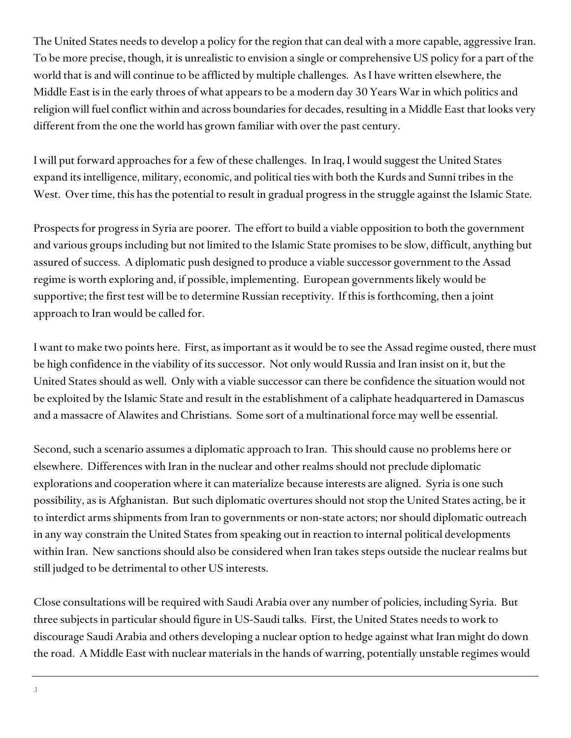The United States needs to develop a policy for the region that can deal with a more capable, aggressive Iran. To be more precise, though, it is unrealistic to envision a single or comprehensive US policy for a part of the world that is and will continue to be afflicted by multiple challenges. As I have written elsewhere, the Middle East is in the early throes of what appears to be a modern day 30 Years War in which politics and religion will fuel conflict within and across boundaries for decades, resulting in a Middle East that looks very different from the one the world has grown familiar with over the past century.

I will put forward approaches for a few of these challenges. In Iraq, I would suggest the United States expand its intelligence, military, economic, and political ties with both the Kurds and Sunni tribes in the West. Over time, this has the potential to result in gradual progress in the struggle against the Islamic State.

Prospects for progress in Syria are poorer. The effort to build a viable opposition to both the government and various groups including but not limited to the Islamic State promises to be slow, difficult, anything but assured of success. A diplomatic push designed to produce a viable successor government to the Assad regime is worth exploring and, if possible, implementing. European governments likely would be supportive; the first test will be to determine Russian receptivity. If this is forthcoming, then a joint approach to Iran would be called for.

I want to make two points here. First, as important as it would be to see the Assad regime ousted, there must be high confidence in the viability of its successor. Not only would Russia and Iran insist on it, but the United States should as well. Only with a viable successor can there be confidence the situation would not be exploited by the Islamic State and result in the establishment of a caliphate headquartered in Damascus and a massacre of Alawites and Christians. Some sort of a multinational force may well be essential.

Second, such a scenario assumes a diplomatic approach to Iran. This should cause no problems here or elsewhere. Differences with Iran in the nuclear and other realms should not preclude diplomatic explorations and cooperation where it can materialize because interests are aligned. Syria is one such possibility, as is Afghanistan. But such diplomatic overtures should not stop the United States acting, be it to interdict arms shipments from Iran to governments or non-state actors; nor should diplomatic outreach in any way constrain the United States from speaking out in reaction to internal political developments within Iran. New sanctions should also be considered when Iran takes steps outside the nuclear realms but still judged to be detrimental to other US interests.

Close consultations will be required with Saudi Arabia over any number of policies, including Syria. But three subjects in particular should figure in US-Saudi talks. First, the United States needs to work to discourage Saudi Arabia and others developing a nuclear option to hedge against what Iran might do down the road. A Middle East with nuclear materials in the hands of warring, potentially unstable regimes would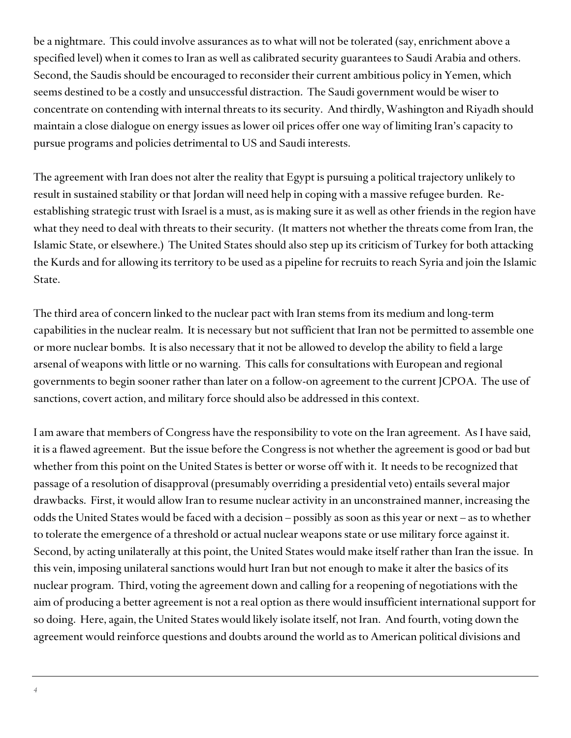be a nightmare. This could involve assurances as to what will not be tolerated (say, enrichment above a specified level) when it comes to Iran as well as calibrated security guarantees to Saudi Arabia and others. Second, the Saudis should be encouraged to reconsider their current ambitious policy in Yemen, which seems destined to be a costly and unsuccessful distraction. The Saudi government would be wiser to concentrate on contending with internal threats to its security. And thirdly, Washington and Riyadh should maintain a close dialogue on energy issues as lower oil prices offer one way of limiting Iran's capacity to pursue programs and policies detrimental to US and Saudi interests.

The agreement with Iran does not alter the reality that Egypt is pursuing a political trajectory unlikely to result in sustained stability or that Jordan will need help in coping with a massive refugee burden. Reestablishing strategic trust with Israel is a must, as is making sure it as well as other friends in the region have what they need to deal with threats to their security. (It matters not whether the threats come from Iran, the Islamic State, or elsewhere.) The United States should also step up its criticism of Turkey for both attacking the Kurds and for allowing its territory to be used as a pipeline for recruits to reach Syria and join the Islamic State.

The third area of concern linked to the nuclear pact with Iran stems from its medium and long-term capabilities in the nuclear realm. It is necessary but not sufficient that Iran not be permitted to assemble one or more nuclear bombs. It is also necessary that it not be allowed to develop the ability to field a large arsenal of weapons with little or no warning. This calls for consultations with European and regional governments to begin sooner rather than later on a follow-on agreement to the current JCPOA. The use of sanctions, covert action, and military force should also be addressed in this context.

I am aware that members of Congress have the responsibility to vote on the Iran agreement. As I have said, it is a flawed agreement. But the issue before the Congress is not whether the agreement is good or bad but whether from this point on the United States is better or worse off with it. It needs to be recognized that passage of a resolution of disapproval (presumably overriding a presidential veto) entails several major drawbacks. First, it would allow Iran to resume nuclear activity in an unconstrained manner, increasing the odds the United States would be faced with a decision – possibly as soon as this year or next – as to whether to tolerate the emergence of a threshold or actual nuclear weapons state or use military force against it. Second, by acting unilaterally at this point, the United States would make itself rather than Iran the issue. In this vein, imposing unilateral sanctions would hurt Iran but not enough to make it alter the basics of its nuclear program. Third, voting the agreement down and calling for a reopening of negotiations with the aim of producing a better agreement is not a real option as there would insufficient international support for so doing. Here, again, the United States would likely isolate itself, not Iran. And fourth, voting down the agreement would reinforce questions and doubts around the world as to American political divisions and